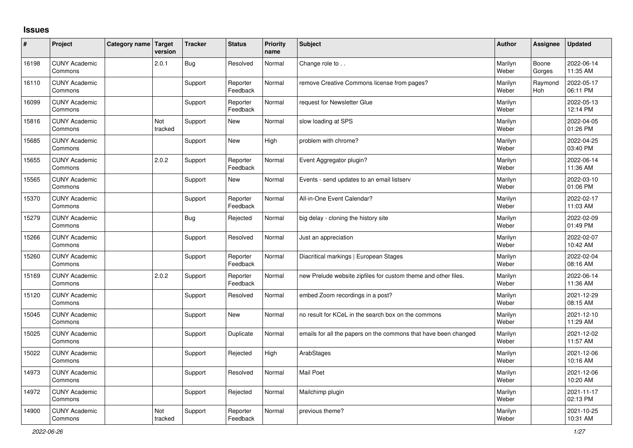## **Issues**

| ∦     | Project                         | Category name Target | version        | <b>Tracker</b> | <b>Status</b>        | <b>Priority</b><br>name | <b>Subject</b>                                                  | <b>Author</b>    | Assignee        | Updated                |
|-------|---------------------------------|----------------------|----------------|----------------|----------------------|-------------------------|-----------------------------------------------------------------|------------------|-----------------|------------------------|
| 16198 | <b>CUNY Academic</b><br>Commons |                      | 2.0.1          | <b>Bug</b>     | Resolved             | Normal                  | Change role to                                                  | Marilyn<br>Weber | Boone<br>Gorges | 2022-06-14<br>11:35 AM |
| 16110 | <b>CUNY Academic</b><br>Commons |                      |                | Support        | Reporter<br>Feedback | Normal                  | remove Creative Commons license from pages?                     | Marilyn<br>Weber | Raymond<br>Hoh  | 2022-05-17<br>06:11 PM |
| 16099 | <b>CUNY Academic</b><br>Commons |                      |                | Support        | Reporter<br>Feedback | Normal                  | request for Newsletter Glue                                     | Marilyn<br>Weber |                 | 2022-05-13<br>12:14 PM |
| 15816 | <b>CUNY Academic</b><br>Commons |                      | Not<br>tracked | Support        | <b>New</b>           | Normal                  | slow loading at SPS                                             | Marilyn<br>Weber |                 | 2022-04-05<br>01:26 PM |
| 15685 | <b>CUNY Academic</b><br>Commons |                      |                | Support        | <b>New</b>           | High                    | problem with chrome?                                            | Marilyn<br>Weber |                 | 2022-04-25<br>03:40 PM |
| 15655 | <b>CUNY Academic</b><br>Commons |                      | 2.0.2          | Support        | Reporter<br>Feedback | Normal                  | Event Aggregator plugin?                                        | Marilyn<br>Weber |                 | 2022-06-14<br>11:36 AM |
| 15565 | <b>CUNY Academic</b><br>Commons |                      |                | Support        | <b>New</b>           | Normal                  | Events - send updates to an email listserv                      | Marilyn<br>Weber |                 | 2022-03-10<br>01:06 PM |
| 15370 | <b>CUNY Academic</b><br>Commons |                      |                | Support        | Reporter<br>Feedback | Normal                  | All-in-One Event Calendar?                                      | Marilyn<br>Weber |                 | 2022-02-17<br>11:03 AM |
| 15279 | <b>CUNY Academic</b><br>Commons |                      |                | <b>Bug</b>     | Rejected             | Normal                  | big delay - cloning the history site                            | Marilyn<br>Weber |                 | 2022-02-09<br>01:49 PM |
| 15266 | <b>CUNY Academic</b><br>Commons |                      |                | Support        | Resolved             | Normal                  | Just an appreciation                                            | Marilyn<br>Weber |                 | 2022-02-07<br>10:42 AM |
| 15260 | <b>CUNY Academic</b><br>Commons |                      |                | Support        | Reporter<br>Feedback | Normal                  | Diacritical markings   European Stages                          | Marilyn<br>Weber |                 | 2022-02-04<br>08:16 AM |
| 15169 | <b>CUNY Academic</b><br>Commons |                      | 2.0.2          | Support        | Reporter<br>Feedback | Normal                  | new Prelude website zipfiles for custom theme and other files.  | Marilyn<br>Weber |                 | 2022-06-14<br>11:36 AM |
| 15120 | <b>CUNY Academic</b><br>Commons |                      |                | Support        | Resolved             | Normal                  | embed Zoom recordings in a post?                                | Marilyn<br>Weber |                 | 2021-12-29<br>08:15 AM |
| 15045 | <b>CUNY Academic</b><br>Commons |                      |                | Support        | <b>New</b>           | Normal                  | no result for KCeL in the search box on the commons             | Marilyn<br>Weber |                 | 2021-12-10<br>11:29 AM |
| 15025 | <b>CUNY Academic</b><br>Commons |                      |                | Support        | Duplicate            | Normal                  | emails for all the papers on the commons that have been changed | Marilyn<br>Weber |                 | 2021-12-02<br>11:57 AM |
| 15022 | <b>CUNY Academic</b><br>Commons |                      |                | Support        | Rejected             | High                    | ArabStages                                                      | Marilyn<br>Weber |                 | 2021-12-06<br>10:16 AM |
| 14973 | <b>CUNY Academic</b><br>Commons |                      |                | Support        | Resolved             | Normal                  | <b>Mail Poet</b>                                                | Marilyn<br>Weber |                 | 2021-12-06<br>10:20 AM |
| 14972 | <b>CUNY Academic</b><br>Commons |                      |                | Support        | Rejected             | Normal                  | Mailchimp plugin                                                | Marilyn<br>Weber |                 | 2021-11-17<br>02:13 PM |
| 14900 | <b>CUNY Academic</b><br>Commons |                      | Not<br>tracked | Support        | Reporter<br>Feedback | Normal                  | previous theme?                                                 | Marilyn<br>Weber |                 | 2021-10-25<br>10:31 AM |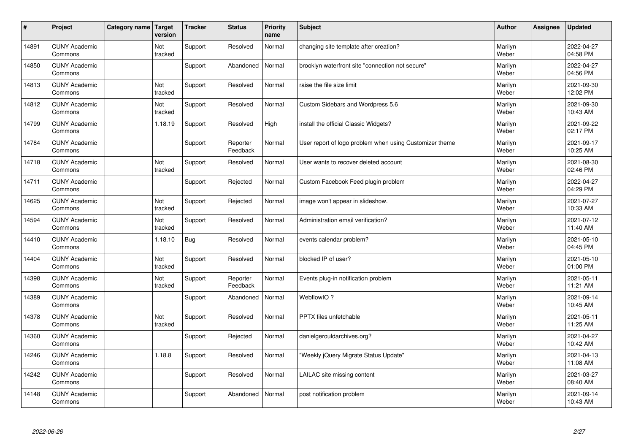| $\sharp$ | Project                         | Category name | Target<br>version | <b>Tracker</b> | <b>Status</b>        | <b>Priority</b><br>name | <b>Subject</b>                                          | <b>Author</b>    | Assignee | <b>Updated</b>         |
|----------|---------------------------------|---------------|-------------------|----------------|----------------------|-------------------------|---------------------------------------------------------|------------------|----------|------------------------|
| 14891    | <b>CUNY Academic</b><br>Commons |               | Not<br>tracked    | Support        | Resolved             | Normal                  | changing site template after creation?                  | Marilyn<br>Weber |          | 2022-04-27<br>04:58 PM |
| 14850    | <b>CUNY Academic</b><br>Commons |               |                   | Support        | Abandoned            | Normal                  | brooklyn waterfront site "connection not secure"        | Marilyn<br>Weber |          | 2022-04-27<br>04:56 PM |
| 14813    | <b>CUNY Academic</b><br>Commons |               | Not<br>tracked    | Support        | Resolved             | Normal                  | raise the file size limit                               | Marilyn<br>Weber |          | 2021-09-30<br>12:02 PM |
| 14812    | <b>CUNY Academic</b><br>Commons |               | Not<br>tracked    | Support        | Resolved             | Normal                  | Custom Sidebars and Wordpress 5.6                       | Marilyn<br>Weber |          | 2021-09-30<br>10:43 AM |
| 14799    | <b>CUNY Academic</b><br>Commons |               | 1.18.19           | Support        | Resolved             | High                    | install the official Classic Widgets?                   | Marilyn<br>Weber |          | 2021-09-22<br>02:17 PM |
| 14784    | <b>CUNY Academic</b><br>Commons |               |                   | Support        | Reporter<br>Feedback | Normal                  | User report of logo problem when using Customizer theme | Marilyn<br>Weber |          | 2021-09-17<br>10:25 AM |
| 14718    | <b>CUNY Academic</b><br>Commons |               | Not<br>tracked    | Support        | Resolved             | Normal                  | User wants to recover deleted account                   | Marilyn<br>Weber |          | 2021-08-30<br>02:46 PM |
| 14711    | <b>CUNY Academic</b><br>Commons |               |                   | Support        | Rejected             | Normal                  | Custom Facebook Feed plugin problem                     | Marilyn<br>Weber |          | 2022-04-27<br>04:29 PM |
| 14625    | <b>CUNY Academic</b><br>Commons |               | Not<br>tracked    | Support        | Rejected             | Normal                  | image won't appear in slideshow.                        | Marilyn<br>Weber |          | 2021-07-27<br>10:33 AM |
| 14594    | <b>CUNY Academic</b><br>Commons |               | Not<br>tracked    | Support        | Resolved             | Normal                  | Administration email verification?                      | Marilyn<br>Weber |          | 2021-07-12<br>11:40 AM |
| 14410    | <b>CUNY Academic</b><br>Commons |               | 1.18.10           | Bug            | Resolved             | Normal                  | events calendar problem?                                | Marilyn<br>Weber |          | 2021-05-10<br>04:45 PM |
| 14404    | <b>CUNY Academic</b><br>Commons |               | Not<br>tracked    | Support        | Resolved             | Normal                  | blocked IP of user?                                     | Marilyn<br>Weber |          | 2021-05-10<br>01:00 PM |
| 14398    | <b>CUNY Academic</b><br>Commons |               | Not<br>tracked    | Support        | Reporter<br>Feedback | Normal                  | Events plug-in notification problem                     | Marilyn<br>Weber |          | 2021-05-11<br>11:21 AM |
| 14389    | <b>CUNY Academic</b><br>Commons |               |                   | Support        | Abandoned            | Normal                  | WebflowIO?                                              | Marilyn<br>Weber |          | 2021-09-14<br>10:45 AM |
| 14378    | <b>CUNY Academic</b><br>Commons |               | Not<br>tracked    | Support        | Resolved             | Normal                  | <b>PPTX</b> files unfetchable                           | Marilyn<br>Weber |          | 2021-05-11<br>11:25 AM |
| 14360    | <b>CUNY Academic</b><br>Commons |               |                   | Support        | Rejected             | Normal                  | danielgerouldarchives.org?                              | Marilyn<br>Weber |          | 2021-04-27<br>10:42 AM |
| 14246    | <b>CUNY Academic</b><br>Commons |               | 1.18.8            | Support        | Resolved             | Normal                  | 'Weekly jQuery Migrate Status Update"                   | Marilyn<br>Weber |          | 2021-04-13<br>11:08 AM |
| 14242    | <b>CUNY Academic</b><br>Commons |               |                   | Support        | Resolved             | Normal                  | LAILAC site missing content                             | Marilyn<br>Weber |          | 2021-03-27<br>08:40 AM |
| 14148    | <b>CUNY Academic</b><br>Commons |               |                   | Support        | Abandoned            | Normal                  | post notification problem                               | Marilyn<br>Weber |          | 2021-09-14<br>10:43 AM |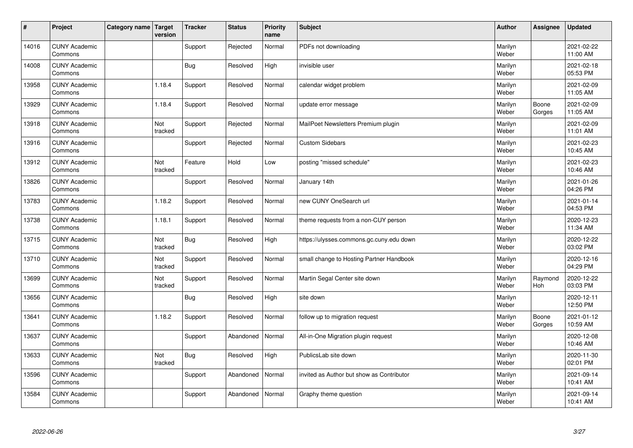| $\vert$ # | Project                         | Category name   Target | version        | <b>Tracker</b> | <b>Status</b> | <b>Priority</b><br>name | <b>Subject</b>                            | <b>Author</b>    | <b>Assignee</b> | <b>Updated</b>         |
|-----------|---------------------------------|------------------------|----------------|----------------|---------------|-------------------------|-------------------------------------------|------------------|-----------------|------------------------|
| 14016     | <b>CUNY Academic</b><br>Commons |                        |                | Support        | Rejected      | Normal                  | PDFs not downloading                      | Marilyn<br>Weber |                 | 2021-02-22<br>11:00 AM |
| 14008     | <b>CUNY Academic</b><br>Commons |                        |                | <b>Bug</b>     | Resolved      | High                    | invisible user                            | Marilyn<br>Weber |                 | 2021-02-18<br>05:53 PM |
| 13958     | <b>CUNY Academic</b><br>Commons |                        | 1.18.4         | Support        | Resolved      | Normal                  | calendar widget problem                   | Marilyn<br>Weber |                 | 2021-02-09<br>11:05 AM |
| 13929     | <b>CUNY Academic</b><br>Commons |                        | 1.18.4         | Support        | Resolved      | Normal                  | update error message                      | Marilyn<br>Weber | Boone<br>Gorges | 2021-02-09<br>11:05 AM |
| 13918     | <b>CUNY Academic</b><br>Commons |                        | Not<br>tracked | Support        | Rejected      | Normal                  | MailPoet Newsletters Premium plugin       | Marilyn<br>Weber |                 | 2021-02-09<br>11:01 AM |
| 13916     | <b>CUNY Academic</b><br>Commons |                        |                | Support        | Rejected      | Normal                  | <b>Custom Sidebars</b>                    | Marilyn<br>Weber |                 | 2021-02-23<br>10:45 AM |
| 13912     | <b>CUNY Academic</b><br>Commons |                        | Not<br>tracked | Feature        | Hold          | Low                     | posting "missed schedule"                 | Marilyn<br>Weber |                 | 2021-02-23<br>10:46 AM |
| 13826     | <b>CUNY Academic</b><br>Commons |                        |                | Support        | Resolved      | Normal                  | January 14th                              | Marilyn<br>Weber |                 | 2021-01-26<br>04:26 PM |
| 13783     | <b>CUNY Academic</b><br>Commons |                        | 1.18.2         | Support        | Resolved      | Normal                  | new CUNY OneSearch url                    | Marilyn<br>Weber |                 | 2021-01-14<br>04:53 PM |
| 13738     | <b>CUNY Academic</b><br>Commons |                        | 1.18.1         | Support        | Resolved      | Normal                  | theme requests from a non-CUY person      | Marilyn<br>Weber |                 | 2020-12-23<br>11:34 AM |
| 13715     | <b>CUNY Academic</b><br>Commons |                        | Not<br>tracked | <b>Bug</b>     | Resolved      | High                    | https://ulysses.commons.gc.cuny.edu down  | Marilyn<br>Weber |                 | 2020-12-22<br>03:02 PM |
| 13710     | <b>CUNY Academic</b><br>Commons |                        | Not<br>tracked | Support        | Resolved      | Normal                  | small change to Hosting Partner Handbook  | Marilyn<br>Weber |                 | 2020-12-16<br>04:29 PM |
| 13699     | <b>CUNY Academic</b><br>Commons |                        | Not<br>tracked | Support        | Resolved      | Normal                  | Martin Segal Center site down             | Marilyn<br>Weber | Raymond<br>Hoh  | 2020-12-22<br>03:03 PM |
| 13656     | <b>CUNY Academic</b><br>Commons |                        |                | Bug            | Resolved      | High                    | site down                                 | Marilyn<br>Weber |                 | 2020-12-11<br>12:50 PM |
| 13641     | <b>CUNY Academic</b><br>Commons |                        | 1.18.2         | Support        | Resolved      | Normal                  | follow up to migration request            | Marilyn<br>Weber | Boone<br>Gorges | 2021-01-12<br>10:59 AM |
| 13637     | <b>CUNY Academic</b><br>Commons |                        |                | Support        | Abandoned     | Normal                  | All-in-One Migration plugin request       | Marilyn<br>Weber |                 | 2020-12-08<br>10:46 AM |
| 13633     | <b>CUNY Academic</b><br>Commons |                        | Not<br>tracked | <b>Bug</b>     | Resolved      | High                    | PublicsLab site down                      | Marilyn<br>Weber |                 | 2020-11-30<br>02:01 PM |
| 13596     | <b>CUNY Academic</b><br>Commons |                        |                | Support        | Abandoned     | Normal                  | invited as Author but show as Contributor | Marilyn<br>Weber |                 | 2021-09-14<br>10:41 AM |
| 13584     | <b>CUNY Academic</b><br>Commons |                        |                | Support        | Abandoned     | Normal                  | Graphy theme question                     | Marilyn<br>Weber |                 | 2021-09-14<br>10:41 AM |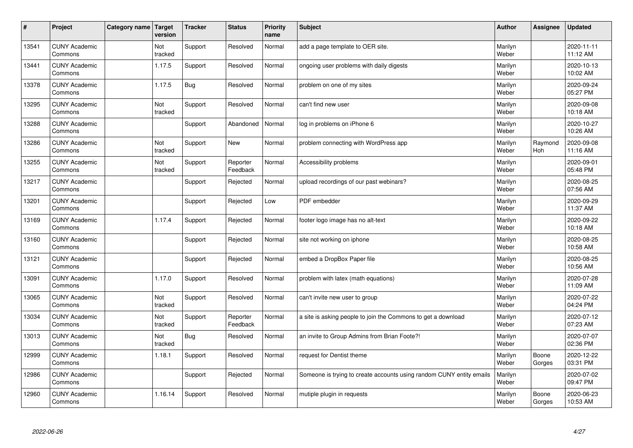| $\vert$ # | Project                         | Category name Target | version        | <b>Tracker</b> | <b>Status</b>        | <b>Priority</b><br>name | <b>Subject</b>                                                       | <b>Author</b>    | <b>Assignee</b> | <b>Updated</b>         |
|-----------|---------------------------------|----------------------|----------------|----------------|----------------------|-------------------------|----------------------------------------------------------------------|------------------|-----------------|------------------------|
| 13541     | <b>CUNY Academic</b><br>Commons |                      | Not<br>tracked | Support        | Resolved             | Normal                  | add a page template to OER site.                                     | Marilyn<br>Weber |                 | 2020-11-11<br>11:12 AM |
| 13441     | <b>CUNY Academic</b><br>Commons |                      | 1.17.5         | Support        | Resolved             | Normal                  | ongoing user problems with daily digests                             | Marilyn<br>Weber |                 | 2020-10-13<br>10:02 AM |
| 13378     | <b>CUNY Academic</b><br>Commons |                      | 1.17.5         | <b>Bug</b>     | Resolved             | Normal                  | problem on one of my sites                                           | Marilyn<br>Weber |                 | 2020-09-24<br>05:27 PM |
| 13295     | <b>CUNY Academic</b><br>Commons |                      | Not<br>tracked | Support        | Resolved             | Normal                  | can't find new user                                                  | Marilyn<br>Weber |                 | 2020-09-08<br>10:18 AM |
| 13288     | <b>CUNY Academic</b><br>Commons |                      |                | Support        | Abandoned            | Normal                  | log in problems on iPhone 6                                          | Marilyn<br>Weber |                 | 2020-10-27<br>10:26 AM |
| 13286     | <b>CUNY Academic</b><br>Commons |                      | Not<br>tracked | Support        | <b>New</b>           | Normal                  | problem connecting with WordPress app                                | Marilyn<br>Weber | Raymond<br>Hoh  | 2020-09-08<br>11:16 AM |
| 13255     | <b>CUNY Academic</b><br>Commons |                      | Not<br>tracked | Support        | Reporter<br>Feedback | Normal                  | Accessibility problems                                               | Marilyn<br>Weber |                 | 2020-09-01<br>05:48 PM |
| 13217     | <b>CUNY Academic</b><br>Commons |                      |                | Support        | Rejected             | Normal                  | upload recordings of our past webinars?                              | Marilyn<br>Weber |                 | 2020-08-25<br>07:56 AM |
| 13201     | <b>CUNY Academic</b><br>Commons |                      |                | Support        | Rejected             | Low                     | PDF embedder                                                         | Marilyn<br>Weber |                 | 2020-09-29<br>11:37 AM |
| 13169     | <b>CUNY Academic</b><br>Commons |                      | 1.17.4         | Support        | Rejected             | Normal                  | footer logo image has no alt-text                                    | Marilyn<br>Weber |                 | 2020-09-22<br>10:18 AM |
| 13160     | <b>CUNY Academic</b><br>Commons |                      |                | Support        | Rejected             | Normal                  | site not working on iphone                                           | Marilyn<br>Weber |                 | 2020-08-25<br>10:58 AM |
| 13121     | <b>CUNY Academic</b><br>Commons |                      |                | Support        | Rejected             | Normal                  | embed a DropBox Paper file                                           | Marilyn<br>Weber |                 | 2020-08-25<br>10:56 AM |
| 13091     | <b>CUNY Academic</b><br>Commons |                      | 1.17.0         | Support        | Resolved             | Normal                  | problem with latex (math equations)                                  | Marilyn<br>Weber |                 | 2020-07-28<br>11:09 AM |
| 13065     | <b>CUNY Academic</b><br>Commons |                      | Not<br>tracked | Support        | Resolved             | Normal                  | can't invite new user to group                                       | Marilyn<br>Weber |                 | 2020-07-22<br>04:24 PM |
| 13034     | <b>CUNY Academic</b><br>Commons |                      | Not<br>tracked | Support        | Reporter<br>Feedback | Normal                  | a site is asking people to join the Commons to get a download        | Marilyn<br>Weber |                 | 2020-07-12<br>07:23 AM |
| 13013     | <b>CUNY Academic</b><br>Commons |                      | Not<br>tracked | <b>Bug</b>     | Resolved             | Normal                  | an invite to Group Admins from Brian Foote?!                         | Marilyn<br>Weber |                 | 2020-07-07<br>02:36 PM |
| 12999     | <b>CUNY Academic</b><br>Commons |                      | 1.18.1         | Support        | Resolved             | Normal                  | request for Dentist theme                                            | Marilyn<br>Weber | Boone<br>Gorges | 2020-12-22<br>03:31 PM |
| 12986     | <b>CUNY Academic</b><br>Commons |                      |                | Support        | Rejected             | Normal                  | Someone is trying to create accounts using random CUNY entity emails | Marilyn<br>Weber |                 | 2020-07-02<br>09:47 PM |
| 12960     | <b>CUNY Academic</b><br>Commons |                      | 1.16.14        | Support        | Resolved             | Normal                  | mutiple plugin in requests                                           | Marilyn<br>Weber | Boone<br>Gorges | 2020-06-23<br>10:53 AM |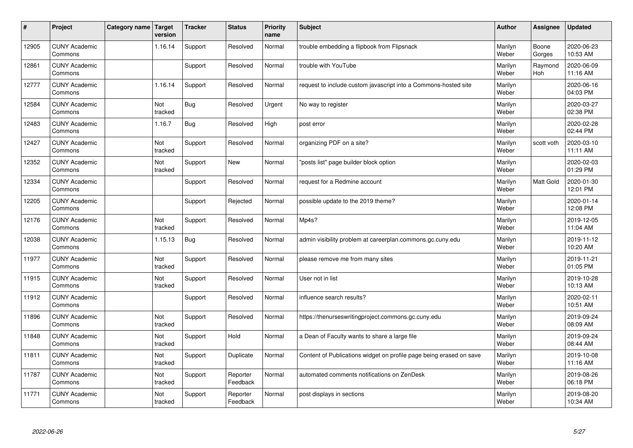| $\sharp$ | Project                         | Category name   Target | version        | <b>Tracker</b> | <b>Status</b>        | <b>Priority</b><br>name | <b>Subject</b>                                                      | <b>Author</b>    | Assignee        | <b>Updated</b>         |
|----------|---------------------------------|------------------------|----------------|----------------|----------------------|-------------------------|---------------------------------------------------------------------|------------------|-----------------|------------------------|
| 12905    | <b>CUNY Academic</b><br>Commons |                        | 1.16.14        | Support        | Resolved             | Normal                  | trouble embedding a flipbook from Flipsnack                         | Marilyn<br>Weber | Boone<br>Gorges | 2020-06-23<br>10:53 AM |
| 12861    | <b>CUNY Academic</b><br>Commons |                        |                | Support        | Resolved             | Normal                  | trouble with YouTube                                                | Marilyn<br>Weber | Raymond<br>Hoh  | 2020-06-09<br>11:16 AM |
| 12777    | <b>CUNY Academic</b><br>Commons |                        | 1.16.14        | Support        | Resolved             | Normal                  | request to include custom javascript into a Commons-hosted site     | Marilyn<br>Weber |                 | 2020-06-16<br>04:03 PM |
| 12584    | <b>CUNY Academic</b><br>Commons |                        | Not<br>tracked | Bug            | Resolved             | Urgent                  | No way to register                                                  | Marilyn<br>Weber |                 | 2020-03-27<br>02:38 PM |
| 12483    | <b>CUNY Academic</b><br>Commons |                        | 1.16.7         | Bug            | Resolved             | High                    | post error                                                          | Marilyn<br>Weber |                 | 2020-02-28<br>02:44 PM |
| 12427    | <b>CUNY Academic</b><br>Commons |                        | Not<br>tracked | Support        | Resolved             | Normal                  | organizing PDF on a site?                                           | Marilyn<br>Weber | scott voth      | 2020-03-10<br>11:11 AM |
| 12352    | <b>CUNY Academic</b><br>Commons |                        | Not<br>tracked | Support        | <b>New</b>           | Normal                  | posts list" page builder block option                               | Marilyn<br>Weber |                 | 2020-02-03<br>01:29 PM |
| 12334    | <b>CUNY Academic</b><br>Commons |                        |                | Support        | Resolved             | Normal                  | request for a Redmine account                                       | Marilyn<br>Weber | Matt Gold       | 2020-01-30<br>12:01 PM |
| 12205    | <b>CUNY Academic</b><br>Commons |                        |                | Support        | Rejected             | Normal                  | possible update to the 2019 theme?                                  | Marilyn<br>Weber |                 | 2020-01-14<br>12:08 PM |
| 12176    | <b>CUNY Academic</b><br>Commons |                        | Not<br>tracked | Support        | Resolved             | Normal                  | Mp4s?                                                               | Marilyn<br>Weber |                 | 2019-12-05<br>11:04 AM |
| 12038    | <b>CUNY Academic</b><br>Commons |                        | 1.15.13        | Bug            | Resolved             | Normal                  | admin visibility problem at careerplan.commons.gc.cuny.edu          | Marilyn<br>Weber |                 | 2019-11-12<br>10:20 AM |
| 11977    | <b>CUNY Academic</b><br>Commons |                        | Not<br>tracked | Support        | Resolved             | Normal                  | please remove me from many sites                                    | Marilyn<br>Weber |                 | 2019-11-21<br>01:05 PM |
| 11915    | <b>CUNY Academic</b><br>Commons |                        | Not<br>tracked | Support        | Resolved             | Normal                  | User not in list                                                    | Marilyn<br>Weber |                 | 2019-10-28<br>10:13 AM |
| 11912    | <b>CUNY Academic</b><br>Commons |                        |                | Support        | Resolved             | Normal                  | influence search results?                                           | Marilyn<br>Weber |                 | 2020-02-11<br>10:51 AM |
| 11896    | <b>CUNY Academic</b><br>Commons |                        | Not<br>tracked | Support        | Resolved             | Normal                  | https://thenurseswritingproject.commons.gc.cuny.edu                 | Marilyn<br>Weber |                 | 2019-09-24<br>08:09 AM |
| 11848    | <b>CUNY Academic</b><br>Commons |                        | Not<br>tracked | Support        | Hold                 | Normal                  | a Dean of Faculty wants to share a large file                       | Marilyn<br>Weber |                 | 2019-09-24<br>08:44 AM |
| 11811    | <b>CUNY Academic</b><br>Commons |                        | Not<br>tracked | Support        | Duplicate            | Normal                  | Content of Publications widget on profile page being erased on save | Marilyn<br>Weber |                 | 2019-10-08<br>11:16 AM |
| 11787    | <b>CUNY Academic</b><br>Commons |                        | Not<br>tracked | Support        | Reporter<br>Feedback | Normal                  | automated comments notifications on ZenDesk                         | Marilyn<br>Weber |                 | 2019-08-26<br>06:18 PM |
| 11771    | <b>CUNY Academic</b><br>Commons |                        | Not<br>tracked | Support        | Reporter<br>Feedback | Normal                  | post displays in sections                                           | Marilyn<br>Weber |                 | 2019-08-20<br>10:34 AM |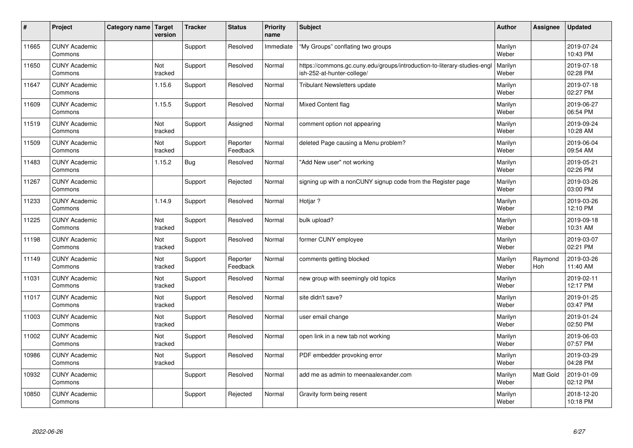| #     | Project                         | Category name   Target | version        | <b>Tracker</b> | <b>Status</b>        | <b>Priority</b><br>name | <b>Subject</b>                                                                                         | <b>Author</b>    | Assignee              | <b>Updated</b>         |
|-------|---------------------------------|------------------------|----------------|----------------|----------------------|-------------------------|--------------------------------------------------------------------------------------------------------|------------------|-----------------------|------------------------|
| 11665 | <b>CUNY Academic</b><br>Commons |                        |                | Support        | Resolved             | Immediate               | "My Groups" conflating two groups                                                                      | Marilyn<br>Weber |                       | 2019-07-24<br>10:43 PM |
| 11650 | <b>CUNY Academic</b><br>Commons |                        | Not<br>tracked | Support        | Resolved             | Normal                  | https://commons.gc.cuny.edu/groups/introduction-to-literary-studies-engl<br>ish-252-at-hunter-college/ | Marilyn<br>Weber |                       | 2019-07-18<br>02:28 PM |
| 11647 | <b>CUNY Academic</b><br>Commons |                        | 1.15.6         | Support        | Resolved             | Normal                  | <b>Tribulant Newsletters update</b>                                                                    | Marilyn<br>Weber |                       | 2019-07-18<br>02:27 PM |
| 11609 | <b>CUNY Academic</b><br>Commons |                        | 1.15.5         | Support        | Resolved             | Normal                  | Mixed Content flag                                                                                     | Marilyn<br>Weber |                       | 2019-06-27<br>06:54 PM |
| 11519 | <b>CUNY Academic</b><br>Commons |                        | Not<br>tracked | Support        | Assigned             | Normal                  | comment option not appearing                                                                           | Marilyn<br>Weber |                       | 2019-09-24<br>10:28 AM |
| 11509 | <b>CUNY Academic</b><br>Commons |                        | Not<br>tracked | Support        | Reporter<br>Feedback | Normal                  | deleted Page causing a Menu problem?                                                                   | Marilyn<br>Weber |                       | 2019-06-04<br>09:54 AM |
| 11483 | <b>CUNY Academic</b><br>Commons |                        | 1.15.2         | <b>Bug</b>     | Resolved             | Normal                  | 'Add New user" not working                                                                             | Marilyn<br>Weber |                       | 2019-05-21<br>02:26 PM |
| 11267 | <b>CUNY Academic</b><br>Commons |                        |                | Support        | Rejected             | Normal                  | signing up with a nonCUNY signup code from the Register page                                           | Marilyn<br>Weber |                       | 2019-03-26<br>03:00 PM |
| 11233 | <b>CUNY Academic</b><br>Commons |                        | 1.14.9         | Support        | Resolved             | Normal                  | Hotjar?                                                                                                | Marilyn<br>Weber |                       | 2019-03-26<br>12:10 PM |
| 11225 | <b>CUNY Academic</b><br>Commons |                        | Not<br>tracked | Support        | Resolved             | Normal                  | bulk upload?                                                                                           | Marilyn<br>Weber |                       | 2019-09-18<br>10:31 AM |
| 11198 | <b>CUNY Academic</b><br>Commons |                        | Not<br>tracked | Support        | Resolved             | Normal                  | former CUNY employee                                                                                   | Marilyn<br>Weber |                       | 2019-03-07<br>02:21 PM |
| 11149 | <b>CUNY Academic</b><br>Commons |                        | Not<br>tracked | Support        | Reporter<br>Feedback | Normal                  | comments getting blocked                                                                               | Marilyn<br>Weber | Raymond<br><b>Hoh</b> | 2019-03-26<br>11:40 AM |
| 11031 | <b>CUNY Academic</b><br>Commons |                        | Not<br>tracked | Support        | Resolved             | Normal                  | new group with seemingly old topics                                                                    | Marilyn<br>Weber |                       | 2019-02-11<br>12:17 PM |
| 11017 | <b>CUNY Academic</b><br>Commons |                        | Not<br>tracked | Support        | Resolved             | Normal                  | site didn't save?                                                                                      | Marilyn<br>Weber |                       | 2019-01-25<br>03:47 PM |
| 11003 | <b>CUNY Academic</b><br>Commons |                        | Not<br>tracked | Support        | Resolved             | Normal                  | user email change                                                                                      | Marilyn<br>Weber |                       | 2019-01-24<br>02:50 PM |
| 11002 | <b>CUNY Academic</b><br>Commons |                        | Not<br>tracked | Support        | Resolved             | Normal                  | open link in a new tab not working                                                                     | Marilyn<br>Weber |                       | 2019-06-03<br>07:57 PM |
| 10986 | <b>CUNY Academic</b><br>Commons |                        | Not<br>tracked | Support        | Resolved             | Normal                  | PDF embedder provoking error                                                                           | Marilyn<br>Weber |                       | 2019-03-29<br>04:28 PM |
| 10932 | <b>CUNY Academic</b><br>Commons |                        |                | Support        | Resolved             | Normal                  | add me as admin to meenaalexander.com                                                                  | Marilyn<br>Weber | Matt Gold             | 2019-01-09<br>02:12 PM |
| 10850 | <b>CUNY Academic</b><br>Commons |                        |                | Support        | Rejected             | Normal                  | Gravity form being resent                                                                              | Marilyn<br>Weber |                       | 2018-12-20<br>10:18 PM |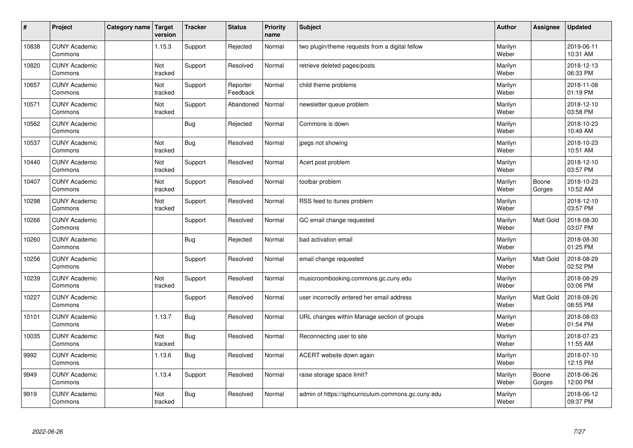| $\sharp$ | Project                         | Category name   Target | version        | <b>Tracker</b> | <b>Status</b>        | <b>Priority</b><br>name | <b>Subject</b>                                     | <b>Author</b>    | <b>Assignee</b>  | <b>Updated</b>         |
|----------|---------------------------------|------------------------|----------------|----------------|----------------------|-------------------------|----------------------------------------------------|------------------|------------------|------------------------|
| 10838    | <b>CUNY Academic</b><br>Commons |                        | 1.15.3         | Support        | Rejected             | Normal                  | two plugin/theme requests from a digital fellow    | Marilyn<br>Weber |                  | 2019-06-11<br>10:31 AM |
| 10820    | <b>CUNY Academic</b><br>Commons |                        | Not<br>tracked | Support        | Resolved             | Normal                  | retrieve deleted pages/posts                       | Marilyn<br>Weber |                  | 2018-12-13<br>06:33 PM |
| 10657    | <b>CUNY Academic</b><br>Commons |                        | Not<br>tracked | Support        | Reporter<br>Feedback | Normal                  | child theme problems                               | Marilyn<br>Weber |                  | 2018-11-08<br>01:19 PM |
| 10571    | <b>CUNY Academic</b><br>Commons |                        | Not<br>tracked | Support        | Abandoned            | Normal                  | newsletter queue problem                           | Marilyn<br>Weber |                  | 2018-12-10<br>03:58 PM |
| 10562    | <b>CUNY Academic</b><br>Commons |                        |                | Bug            | Rejected             | Normal                  | Commons is down                                    | Marilyn<br>Weber |                  | 2018-10-23<br>10:49 AM |
| 10537    | <b>CUNY Academic</b><br>Commons |                        | Not<br>tracked | Bug            | Resolved             | Normal                  | jpegs not showing                                  | Marilyn<br>Weber |                  | 2018-10-23<br>10:51 AM |
| 10440    | <b>CUNY Academic</b><br>Commons |                        | Not<br>tracked | Support        | Resolved             | Normal                  | Acert post problem                                 | Marilyn<br>Weber |                  | 2018-12-10<br>03:57 PM |
| 10407    | <b>CUNY Academic</b><br>Commons |                        | Not<br>tracked | Support        | Resolved             | Normal                  | toolbar problem                                    | Marilyn<br>Weber | Boone<br>Gorges  | 2018-10-23<br>10:52 AM |
| 10298    | <b>CUNY Academic</b><br>Commons |                        | Not<br>tracked | Support        | Resolved             | Normal                  | RSS feed to itunes problem                         | Marilyn<br>Weber |                  | 2018-12-10<br>03:57 PM |
| 10266    | <b>CUNY Academic</b><br>Commons |                        |                | Support        | Resolved             | Normal                  | GC email change requested                          | Marilyn<br>Weber | Matt Gold        | 2018-08-30<br>03:07 PM |
| 10260    | <b>CUNY Academic</b><br>Commons |                        |                | Bug            | Rejected             | Normal                  | bad activation email                               | Marilyn<br>Weber |                  | 2018-08-30<br>01:25 PM |
| 10256    | <b>CUNY Academic</b><br>Commons |                        |                | Support        | Resolved             | Normal                  | email change requested                             | Marilyn<br>Weber | Matt Gold        | 2018-08-29<br>02:52 PM |
| 10239    | <b>CUNY Academic</b><br>Commons |                        | Not<br>tracked | Support        | Resolved             | Normal                  | musicroombooking.commons.gc.cuny.edu               | Marilyn<br>Weber |                  | 2018-08-29<br>03:06 PM |
| 10227    | <b>CUNY Academic</b><br>Commons |                        |                | Support        | Resolved             | Normal                  | user incorrectly entered her email address         | Marilyn<br>Weber | <b>Matt Gold</b> | 2018-08-26<br>08:55 PM |
| 10101    | <b>CUNY Academic</b><br>Commons |                        | 1.13.7         | Bug            | Resolved             | Normal                  | URL changes within Manage section of groups        | Marilyn<br>Weber |                  | 2018-08-03<br>01:54 PM |
| 10035    | <b>CUNY Academic</b><br>Commons |                        | Not<br>tracked | <b>Bug</b>     | Resolved             | Normal                  | Reconnecting user to site                          | Marilyn<br>Weber |                  | 2018-07-23<br>11:55 AM |
| 9992     | <b>CUNY Academic</b><br>Commons |                        | 1.13.6         | Bug            | Resolved             | Normal                  | ACERT website down again                           | Marilyn<br>Weber |                  | 2018-07-10<br>12:15 PM |
| 9949     | <b>CUNY Academic</b><br>Commons |                        | 1.13.4         | Support        | Resolved             | Normal                  | raise storage space limit?                         | Marilyn<br>Weber | Boone<br>Gorges  | 2018-06-26<br>12:00 PM |
| 9919     | <b>CUNY Academic</b><br>Commons |                        | Not<br>tracked | Bug            | Resolved             | Normal                  | admin of https://sphcurriculum.commons.gc.cuny.edu | Marilyn<br>Weber |                  | 2018-06-12<br>09:37 PM |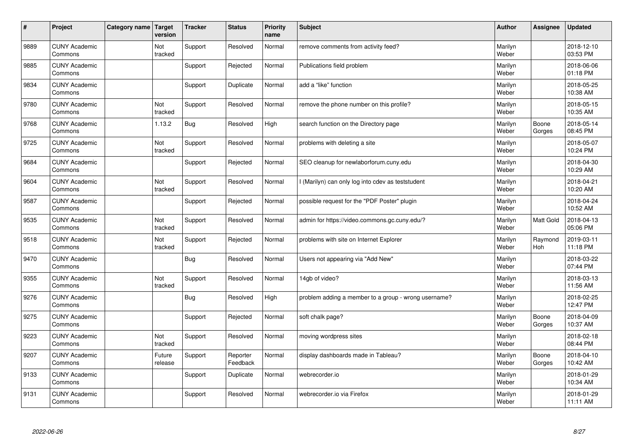| #    | Project                         | Category name   Target | version           | <b>Tracker</b> | <b>Status</b>        | <b>Priority</b><br>name | <b>Subject</b>                                       | <b>Author</b>    | Assignee              | <b>Updated</b>         |
|------|---------------------------------|------------------------|-------------------|----------------|----------------------|-------------------------|------------------------------------------------------|------------------|-----------------------|------------------------|
| 9889 | <b>CUNY Academic</b><br>Commons |                        | Not<br>tracked    | Support        | Resolved             | Normal                  | remove comments from activity feed?                  | Marilyn<br>Weber |                       | 2018-12-10<br>03:53 PM |
| 9885 | <b>CUNY Academic</b><br>Commons |                        |                   | Support        | Rejected             | Normal                  | Publications field problem                           | Marilyn<br>Weber |                       | 2018-06-06<br>01:18 PM |
| 9834 | <b>CUNY Academic</b><br>Commons |                        |                   | Support        | Duplicate            | Normal                  | add a "like" function                                | Marilyn<br>Weber |                       | 2018-05-25<br>10:38 AM |
| 9780 | <b>CUNY Academic</b><br>Commons |                        | Not<br>tracked    | Support        | Resolved             | Normal                  | remove the phone number on this profile?             | Marilyn<br>Weber |                       | 2018-05-15<br>10:35 AM |
| 9768 | <b>CUNY Academic</b><br>Commons |                        | 1.13.2            | Bug            | Resolved             | High                    | search function on the Directory page                | Marilyn<br>Weber | Boone<br>Gorges       | 2018-05-14<br>08:45 PM |
| 9725 | <b>CUNY Academic</b><br>Commons |                        | Not<br>tracked    | Support        | Resolved             | Normal                  | problems with deleting a site                        | Marilyn<br>Weber |                       | 2018-05-07<br>10:24 PM |
| 9684 | <b>CUNY Academic</b><br>Commons |                        |                   | Support        | Rejected             | Normal                  | SEO cleanup for newlaborforum.cuny.edu               | Marilyn<br>Weber |                       | 2018-04-30<br>10:29 AM |
| 9604 | <b>CUNY Academic</b><br>Commons |                        | Not<br>tracked    | Support        | Resolved             | Normal                  | I (Marilyn) can only log into cdev as teststudent    | Marilyn<br>Weber |                       | 2018-04-21<br>10:20 AM |
| 9587 | <b>CUNY Academic</b><br>Commons |                        |                   | Support        | Rejected             | Normal                  | possible request for the "PDF Poster" plugin         | Marilyn<br>Weber |                       | 2018-04-24<br>10:52 AM |
| 9535 | <b>CUNY Academic</b><br>Commons |                        | Not<br>tracked    | Support        | Resolved             | Normal                  | admin for https://video.commons.gc.cuny.edu/?        | Marilyn<br>Weber | <b>Matt Gold</b>      | 2018-04-13<br>05:06 PM |
| 9518 | <b>CUNY Academic</b><br>Commons |                        | Not<br>tracked    | Support        | Rejected             | Normal                  | problems with site on Internet Explorer              | Marilyn<br>Weber | Raymond<br><b>Hoh</b> | 2019-03-11<br>11:18 PM |
| 9470 | <b>CUNY Academic</b><br>Commons |                        |                   | <b>Bug</b>     | Resolved             | Normal                  | Users not appearing via "Add New"                    | Marilyn<br>Weber |                       | 2018-03-22<br>07:44 PM |
| 9355 | <b>CUNY Academic</b><br>Commons |                        | Not<br>tracked    | Support        | Resolved             | Normal                  | 14gb of video?                                       | Marilyn<br>Weber |                       | 2018-03-13<br>11:56 AM |
| 9276 | <b>CUNY Academic</b><br>Commons |                        |                   | <b>Bug</b>     | Resolved             | High                    | problem adding a member to a group - wrong username? | Marilyn<br>Weber |                       | 2018-02-25<br>12:47 PM |
| 9275 | <b>CUNY Academic</b><br>Commons |                        |                   | Support        | Rejected             | Normal                  | soft chalk page?                                     | Marilyn<br>Weber | Boone<br>Gorges       | 2018-04-09<br>10:37 AM |
| 9223 | <b>CUNY Academic</b><br>Commons |                        | Not<br>tracked    | Support        | Resolved             | Normal                  | moving wordpress sites                               | Marilyn<br>Weber |                       | 2018-02-18<br>08:44 PM |
| 9207 | <b>CUNY Academic</b><br>Commons |                        | Future<br>release | Support        | Reporter<br>Feedback | Normal                  | display dashboards made in Tableau?                  | Marilyn<br>Weber | Boone<br>Gorges       | 2018-04-10<br>10:42 AM |
| 9133 | <b>CUNY Academic</b><br>Commons |                        |                   | Support        | Duplicate            | Normal                  | webrecorder.io                                       | Marilyn<br>Weber |                       | 2018-01-29<br>10:34 AM |
| 9131 | <b>CUNY Academic</b><br>Commons |                        |                   | Support        | Resolved             | Normal                  | webrecorder.io via Firefox                           | Marilyn<br>Weber |                       | 2018-01-29<br>11:11 AM |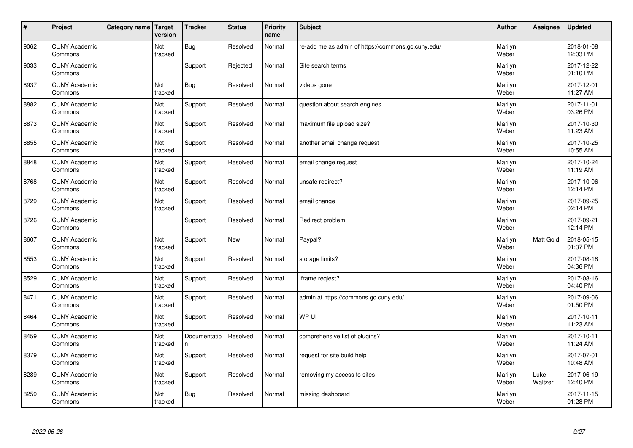| $\vert$ # | Project                         | Category name Target | version        | <b>Tracker</b>     | <b>Status</b> | <b>Priority</b><br>name | <b>Subject</b>                                     | <b>Author</b>    | <b>Assignee</b> | <b>Updated</b>         |
|-----------|---------------------------------|----------------------|----------------|--------------------|---------------|-------------------------|----------------------------------------------------|------------------|-----------------|------------------------|
| 9062      | <b>CUNY Academic</b><br>Commons |                      | Not<br>tracked | <b>Bug</b>         | Resolved      | Normal                  | re-add me as admin of https://commons.gc.cuny.edu/ | Marilyn<br>Weber |                 | 2018-01-08<br>12:03 PM |
| 9033      | <b>CUNY Academic</b><br>Commons |                      |                | Support            | Rejected      | Normal                  | Site search terms                                  | Marilyn<br>Weber |                 | 2017-12-22<br>01:10 PM |
| 8937      | <b>CUNY Academic</b><br>Commons |                      | Not<br>tracked | <b>Bug</b>         | Resolved      | Normal                  | videos gone                                        | Marilyn<br>Weber |                 | 2017-12-01<br>11:27 AM |
| 8882      | <b>CUNY Academic</b><br>Commons |                      | Not<br>tracked | Support            | Resolved      | Normal                  | question about search engines                      | Marilyn<br>Weber |                 | 2017-11-01<br>03:26 PM |
| 8873      | <b>CUNY Academic</b><br>Commons |                      | Not<br>tracked | Support            | Resolved      | Normal                  | maximum file upload size?                          | Marilyn<br>Weber |                 | 2017-10-30<br>11:23 AM |
| 8855      | <b>CUNY Academic</b><br>Commons |                      | Not<br>tracked | Support            | Resolved      | Normal                  | another email change request                       | Marilyn<br>Weber |                 | 2017-10-25<br>10:55 AM |
| 8848      | <b>CUNY Academic</b><br>Commons |                      | Not<br>tracked | Support            | Resolved      | Normal                  | email change request                               | Marilyn<br>Weber |                 | 2017-10-24<br>11:19 AM |
| 8768      | <b>CUNY Academic</b><br>Commons |                      | Not<br>tracked | Support            | Resolved      | Normal                  | unsafe redirect?                                   | Marilyn<br>Weber |                 | 2017-10-06<br>12:14 PM |
| 8729      | <b>CUNY Academic</b><br>Commons |                      | Not<br>tracked | Support            | Resolved      | Normal                  | email change                                       | Marilyn<br>Weber |                 | 2017-09-25<br>02:14 PM |
| 8726      | <b>CUNY Academic</b><br>Commons |                      |                | Support            | Resolved      | Normal                  | Redirect problem                                   | Marilyn<br>Weber |                 | 2017-09-21<br>12:14 PM |
| 8607      | <b>CUNY Academic</b><br>Commons |                      | Not<br>tracked | Support            | <b>New</b>    | Normal                  | Paypal?                                            | Marilyn<br>Weber | Matt Gold       | 2018-05-15<br>01:37 PM |
| 8553      | <b>CUNY Academic</b><br>Commons |                      | Not<br>tracked | Support            | Resolved      | Normal                  | storage limits?                                    | Marilyn<br>Weber |                 | 2017-08-18<br>04:36 PM |
| 8529      | <b>CUNY Academic</b><br>Commons |                      | Not<br>tracked | Support            | Resolved      | Normal                  | Iframe reqiest?                                    | Marilyn<br>Weber |                 | 2017-08-16<br>04:40 PM |
| 8471      | <b>CUNY Academic</b><br>Commons |                      | Not<br>tracked | Support            | Resolved      | Normal                  | admin at https://commons.gc.cuny.edu/              | Marilyn<br>Weber |                 | 2017-09-06<br>01:50 PM |
| 8464      | <b>CUNY Academic</b><br>Commons |                      | Not<br>tracked | Support            | Resolved      | Normal                  | WP UI                                              | Marilyn<br>Weber |                 | 2017-10-11<br>11:23 AM |
| 8459      | <b>CUNY Academic</b><br>Commons |                      | Not<br>tracked | Documentatio<br>n. | Resolved      | Normal                  | comprehensive list of plugins?                     | Marilyn<br>Weber |                 | 2017-10-11<br>11:24 AM |
| 8379      | <b>CUNY Academic</b><br>Commons |                      | Not<br>tracked | Support            | Resolved      | Normal                  | request for site build help                        | Marilyn<br>Weber |                 | 2017-07-01<br>10:48 AM |
| 8289      | <b>CUNY Academic</b><br>Commons |                      | Not<br>tracked | Support            | Resolved      | Normal                  | removing my access to sites                        | Marilyn<br>Weber | Luke<br>Waltzer | 2017-06-19<br>12:40 PM |
| 8259      | <b>CUNY Academic</b><br>Commons |                      | Not<br>tracked | <b>Bug</b>         | Resolved      | Normal                  | missing dashboard                                  | Marilyn<br>Weber |                 | 2017-11-15<br>01:28 PM |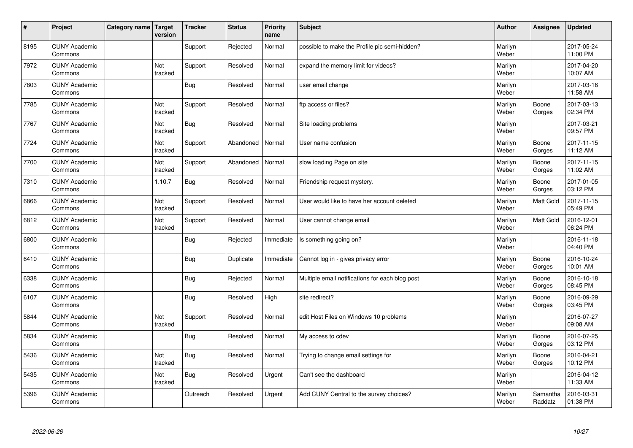| $\vert$ # | Project                         | Category name   Target | version               | <b>Tracker</b> | <b>Status</b> | <b>Priority</b><br>name | <b>Subject</b>                                  | <b>Author</b>    | Assignee            | <b>Updated</b>         |
|-----------|---------------------------------|------------------------|-----------------------|----------------|---------------|-------------------------|-------------------------------------------------|------------------|---------------------|------------------------|
| 8195      | <b>CUNY Academic</b><br>Commons |                        |                       | Support        | Rejected      | Normal                  | possible to make the Profile pic semi-hidden?   | Marilyn<br>Weber |                     | 2017-05-24<br>11:00 PM |
| 7972      | <b>CUNY Academic</b><br>Commons |                        | Not<br>tracked        | Support        | Resolved      | Normal                  | expand the memory limit for videos?             | Marilyn<br>Weber |                     | 2017-04-20<br>10:07 AM |
| 7803      | <b>CUNY Academic</b><br>Commons |                        |                       | Bug            | Resolved      | Normal                  | user email change                               | Marilyn<br>Weber |                     | 2017-03-16<br>11:58 AM |
| 7785      | <b>CUNY Academic</b><br>Commons |                        | <b>Not</b><br>tracked | Support        | Resolved      | Normal                  | ftp access or files?                            | Marilyn<br>Weber | Boone<br>Gorges     | 2017-03-13<br>02:34 PM |
| 7767      | <b>CUNY Academic</b><br>Commons |                        | Not<br>tracked        | <b>Bug</b>     | Resolved      | Normal                  | Site loading problems                           | Marilyn<br>Weber |                     | 2017-03-21<br>09:57 PM |
| 7724      | <b>CUNY Academic</b><br>Commons |                        | Not<br>tracked        | Support        | Abandoned     | Normal                  | User name confusion                             | Marilyn<br>Weber | Boone<br>Gorges     | 2017-11-15<br>11:12 AM |
| 7700      | <b>CUNY Academic</b><br>Commons |                        | Not<br>tracked        | Support        | Abandoned     | Normal                  | slow loading Page on site                       | Marilyn<br>Weber | Boone<br>Gorges     | 2017-11-15<br>11:02 AM |
| 7310      | <b>CUNY Academic</b><br>Commons |                        | 1.10.7                | <b>Bug</b>     | Resolved      | Normal                  | Friendship request mystery.                     | Marilyn<br>Weber | Boone<br>Gorges     | 2017-01-05<br>03:12 PM |
| 6866      | <b>CUNY Academic</b><br>Commons |                        | Not<br>tracked        | Support        | Resolved      | Normal                  | User would like to have her account deleted     | Marilyn<br>Weber | Matt Gold           | 2017-11-15<br>05:49 PM |
| 6812      | <b>CUNY Academic</b><br>Commons |                        | Not<br>tracked        | Support        | Resolved      | Normal                  | User cannot change email                        | Marilyn<br>Weber | <b>Matt Gold</b>    | 2016-12-01<br>06:24 PM |
| 6800      | <b>CUNY Academic</b><br>Commons |                        |                       | <b>Bug</b>     | Rejected      | Immediate               | Is something going on?                          | Marilyn<br>Weber |                     | 2016-11-18<br>04:40 PM |
| 6410      | <b>CUNY Academic</b><br>Commons |                        |                       | Bug            | Duplicate     | Immediate               | Cannot log in - gives privacy error             | Marilyn<br>Weber | Boone<br>Gorges     | 2016-10-24<br>10:01 AM |
| 6338      | <b>CUNY Academic</b><br>Commons |                        |                       | Bug            | Rejected      | Normal                  | Multiple email notifications for each blog post | Marilyn<br>Weber | Boone<br>Gorges     | 2016-10-18<br>08:45 PM |
| 6107      | <b>CUNY Academic</b><br>Commons |                        |                       | Bug            | Resolved      | High                    | site redirect?                                  | Marilyn<br>Weber | Boone<br>Gorges     | 2016-09-29<br>03:45 PM |
| 5844      | <b>CUNY Academic</b><br>Commons |                        | Not<br>tracked        | Support        | Resolved      | Normal                  | edit Host Files on Windows 10 problems          | Marilyn<br>Weber |                     | 2016-07-27<br>09:08 AM |
| 5834      | <b>CUNY Academic</b><br>Commons |                        |                       | Bug            | Resolved      | Normal                  | My access to cdev                               | Marilyn<br>Weber | Boone<br>Gorges     | 2016-07-25<br>03:12 PM |
| 5436      | <b>CUNY Academic</b><br>Commons |                        | Not<br>tracked        | <b>Bug</b>     | Resolved      | Normal                  | Trying to change email settings for             | Marilyn<br>Weber | Boone<br>Gorges     | 2016-04-21<br>10:12 PM |
| 5435      | <b>CUNY Academic</b><br>Commons |                        | Not<br>tracked        | <b>Bug</b>     | Resolved      | Urgent                  | Can't see the dashboard                         | Marilyn<br>Weber |                     | 2016-04-12<br>11:33 AM |
| 5396      | <b>CUNY Academic</b><br>Commons |                        |                       | Outreach       | Resolved      | Urgent                  | Add CUNY Central to the survey choices?         | Marilyn<br>Weber | Samantha<br>Raddatz | 2016-03-31<br>01:38 PM |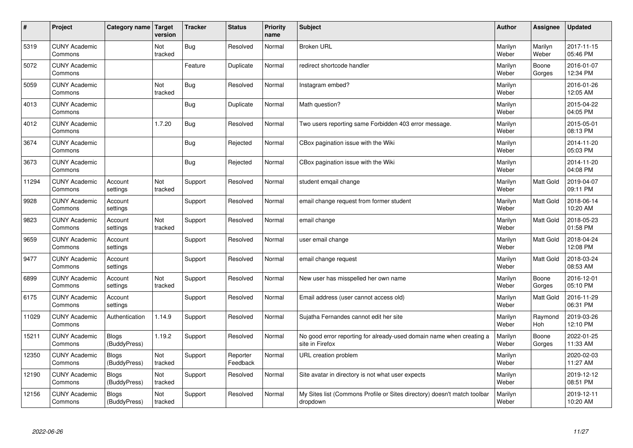| $\sharp$ | Project                         | Category name   Target       | version        | <b>Tracker</b> | <b>Status</b>        | <b>Priority</b><br>name | <b>Subject</b>                                                                          | <b>Author</b>    | Assignee         | <b>Updated</b>         |
|----------|---------------------------------|------------------------------|----------------|----------------|----------------------|-------------------------|-----------------------------------------------------------------------------------------|------------------|------------------|------------------------|
| 5319     | <b>CUNY Academic</b><br>Commons |                              | Not<br>tracked | Bug            | Resolved             | Normal                  | <b>Broken URL</b>                                                                       | Marilyn<br>Weber | Marilyn<br>Weber | 2017-11-15<br>05:46 PM |
| 5072     | <b>CUNY Academic</b><br>Commons |                              |                | Feature        | Duplicate            | Normal                  | redirect shortcode handler                                                              | Marilyn<br>Weber | Boone<br>Gorges  | 2016-01-07<br>12:34 PM |
| 5059     | <b>CUNY Academic</b><br>Commons |                              | Not<br>tracked | <b>Bug</b>     | Resolved             | Normal                  | Instagram embed?                                                                        | Marilyn<br>Weber |                  | 2016-01-26<br>12:05 AM |
| 4013     | <b>CUNY Academic</b><br>Commons |                              |                | Bug            | Duplicate            | Normal                  | Math question?                                                                          | Marilyn<br>Weber |                  | 2015-04-22<br>04:05 PM |
| 4012     | <b>CUNY Academic</b><br>Commons |                              | 1.7.20         | Bug            | Resolved             | Normal                  | Two users reporting same Forbidden 403 error message.                                   | Marilyn<br>Weber |                  | 2015-05-01<br>08:13 PM |
| 3674     | <b>CUNY Academic</b><br>Commons |                              |                | Bug            | Rejected             | Normal                  | CBox pagination issue with the Wiki                                                     | Marilyn<br>Weber |                  | 2014-11-20<br>05:03 PM |
| 3673     | <b>CUNY Academic</b><br>Commons |                              |                | Bug            | Rejected             | Normal                  | CBox pagination issue with the Wiki                                                     | Marilyn<br>Weber |                  | 2014-11-20<br>04:08 PM |
| 11294    | <b>CUNY Academic</b><br>Commons | Account<br>settings          | Not<br>tracked | Support        | Resolved             | Normal                  | student emqail change                                                                   | Marilyn<br>Weber | Matt Gold        | 2019-04-07<br>09:11 PM |
| 9928     | <b>CUNY Academic</b><br>Commons | Account<br>settings          |                | Support        | Resolved             | Normal                  | email change request from former student                                                | Marilyn<br>Weber | <b>Matt Gold</b> | 2018-06-14<br>10:20 AM |
| 9823     | <b>CUNY Academic</b><br>Commons | Account<br>settings          | Not<br>tracked | Support        | Resolved             | Normal                  | email change                                                                            | Marilyn<br>Weber | Matt Gold        | 2018-05-23<br>01:58 PM |
| 9659     | <b>CUNY Academic</b><br>Commons | Account<br>settings          |                | Support        | Resolved             | Normal                  | user email change                                                                       | Marilyn<br>Weber | <b>Matt Gold</b> | 2018-04-24<br>12:08 PM |
| 9477     | <b>CUNY Academic</b><br>Commons | Account<br>settings          |                | Support        | Resolved             | Normal                  | email change request                                                                    | Marilyn<br>Weber | Matt Gold        | 2018-03-24<br>08:53 AM |
| 6899     | <b>CUNY Academic</b><br>Commons | Account<br>settings          | Not<br>tracked | Support        | Resolved             | Normal                  | New user has misspelled her own name                                                    | Marilyn<br>Weber | Boone<br>Gorges  | 2016-12-01<br>05:10 PM |
| 6175     | <b>CUNY Academic</b><br>Commons | Account<br>settings          |                | Support        | Resolved             | Normal                  | Email address (user cannot access old)                                                  | Marilyn<br>Weber | <b>Matt Gold</b> | 2016-11-29<br>06:31 PM |
| 11029    | <b>CUNY Academic</b><br>Commons | Authentication               | 1.14.9         | Support        | Resolved             | Normal                  | Sujatha Fernandes cannot edit her site                                                  | Marilyn<br>Weber | Raymond<br>Hoh   | 2019-03-26<br>12:10 PM |
| 15211    | <b>CUNY Academic</b><br>Commons | <b>Blogs</b><br>(BuddyPress) | 1.19.2         | Support        | Resolved             | Normal                  | No good error reporting for already-used domain name when creating a<br>site in Firefox | Marilyn<br>Weber | Boone<br>Gorges  | 2022-01-25<br>11:33 AM |
| 12350    | <b>CUNY Academic</b><br>Commons | <b>Blogs</b><br>(BuddyPress) | Not<br>tracked | Support        | Reporter<br>Feedback | Normal                  | URL creation problem                                                                    | Marilyn<br>Weber |                  | 2020-02-03<br>11:27 AM |
| 12190    | <b>CUNY Academic</b><br>Commons | <b>Blogs</b><br>(BuddyPress) | Not<br>tracked | Support        | Resolved             | Normal                  | Site avatar in directory is not what user expects                                       | Marilyn<br>Weber |                  | 2019-12-12<br>08:51 PM |
| 12156    | <b>CUNY Academic</b><br>Commons | Blogs<br>(BuddyPress)        | Not<br>tracked | Support        | Resolved             | Normal                  | My Sites list (Commons Profile or Sites directory) doesn't match toolbar<br>dropdown    | Marilyn<br>Weber |                  | 2019-12-11<br>10:20 AM |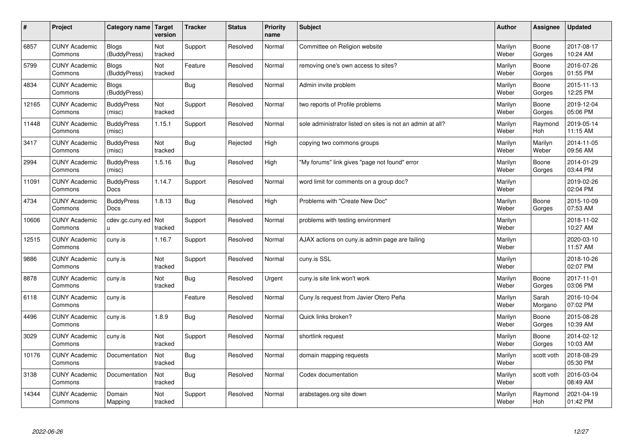| $\sharp$ | Project                         | Category name   Target       | version        | <b>Tracker</b> | <b>Status</b> | <b>Priority</b><br>name | <b>Subject</b>                                             | <b>Author</b>    | Assignee         | <b>Updated</b>         |
|----------|---------------------------------|------------------------------|----------------|----------------|---------------|-------------------------|------------------------------------------------------------|------------------|------------------|------------------------|
| 6857     | <b>CUNY Academic</b><br>Commons | <b>Blogs</b><br>(BuddyPress) | Not<br>tracked | Support        | Resolved      | Normal                  | Committee on Religion website                              | Marilyn<br>Weber | Boone<br>Gorges  | 2017-08-17<br>10:24 AM |
| 5799     | <b>CUNY Academic</b><br>Commons | Blogs<br>(BuddyPress)        | Not<br>tracked | Feature        | Resolved      | Normal                  | removing one's own access to sites?                        | Marilyn<br>Weber | Boone<br>Gorges  | 2016-07-26<br>01:55 PM |
| 4834     | <b>CUNY Academic</b><br>Commons | <b>Blogs</b><br>(BuddyPress) |                | Bug            | Resolved      | Normal                  | Admin invite problem                                       | Marilyn<br>Weber | Boone<br>Gorges  | 2015-11-13<br>12:25 PM |
| 12165    | <b>CUNY Academic</b><br>Commons | <b>BuddyPress</b><br>(misc)  | Not<br>tracked | Support        | Resolved      | Normal                  | two reports of Profile problems                            | Marilyn<br>Weber | Boone<br>Gorges  | 2019-12-04<br>05:06 PM |
| 11448    | <b>CUNY Academic</b><br>Commons | <b>BuddyPress</b><br>(misc)  | 1.15.1         | Support        | Resolved      | Normal                  | sole administrator listed on sites is not an admin at all? | Marilyn<br>Weber | Raymond<br>Hoh   | 2019-05-14<br>11:15 AM |
| 3417     | <b>CUNY Academic</b><br>Commons | <b>BuddyPress</b><br>(misc)  | Not<br>tracked | Bug            | Rejected      | High                    | copying two commons groups                                 | Marilyn<br>Weber | Marilyn<br>Weber | 2014-11-05<br>09:56 AM |
| 2994     | <b>CUNY Academic</b><br>Commons | <b>BuddyPress</b><br>(misc)  | 1.5.16         | Bug            | Resolved      | High                    | "My forums" link gives "page not found" error              | Marilyn<br>Weber | Boone<br>Gorges  | 2014-01-29<br>03:44 PM |
| 11091    | <b>CUNY Academic</b><br>Commons | <b>BuddyPress</b><br>Docs    | 1.14.7         | Support        | Resolved      | Normal                  | word limit for comments on a group doc?                    | Marilyn<br>Weber |                  | 2019-02-26<br>02:04 PM |
| 4734     | <b>CUNY Academic</b><br>Commons | <b>BuddyPress</b><br>Docs    | 1.8.13         | Bug            | Resolved      | High                    | Problems with "Create New Doc"                             | Marilyn<br>Weber | Boone<br>Gorges  | 2015-10-09<br>07:53 AM |
| 10606    | <b>CUNY Academic</b><br>Commons | cdev.gc.cuny.ed<br>u.        | Not<br>tracked | Support        | Resolved      | Normal                  | problems with testing environment                          | Marilyn<br>Weber |                  | 2018-11-02<br>10:27 AM |
| 12515    | <b>CUNY Academic</b><br>Commons | cuny.is                      | 1.16.7         | Support        | Resolved      | Normal                  | AJAX actions on cuny is admin page are failing             | Marilyn<br>Weber |                  | 2020-03-10<br>11:57 AM |
| 9886     | <b>CUNY Academic</b><br>Commons | cuny.is                      | Not<br>tracked | Support        | Resolved      | Normal                  | cuny.is SSL                                                | Marilyn<br>Weber |                  | 2018-10-26<br>02:07 PM |
| 8878     | <b>CUNY Academic</b><br>Commons | cuny.is                      | Not<br>tracked | Bug            | Resolved      | Urgent                  | cuny is site link won't work                               | Marilyn<br>Weber | Boone<br>Gorges  | 2017-11-01<br>03:06 PM |
| 6118     | <b>CUNY Academic</b><br>Commons | cuny.is                      |                | Feature        | Resolved      | Normal                  | Cuny. Is request from Javier Otero Peña                    | Marilyn<br>Weber | Sarah<br>Morgano | 2016-10-04<br>07:02 PM |
| 4496     | <b>CUNY Academic</b><br>Commons | cuny.is                      | 1.8.9          | <b>Bug</b>     | Resolved      | Normal                  | Quick links broken?                                        | Marilyn<br>Weber | Boone<br>Gorges  | 2015-08-28<br>10:39 AM |
| 3029     | <b>CUNY Academic</b><br>Commons | cuny.is                      | Not<br>tracked | Support        | Resolved      | Normal                  | shortlink request                                          | Marilyn<br>Weber | Boone<br>Gorges  | 2014-02-12<br>10:03 AM |
| 10176    | <b>CUNY Academic</b><br>Commons | Documentation                | Not<br>tracked | Bug            | Resolved      | Normal                  | domain mapping requests                                    | Marilyn<br>Weber | scott voth       | 2018-08-29<br>05:30 PM |
| 3138     | <b>CUNY Academic</b><br>Commons | Documentation                | Not<br>tracked | Bug            | Resolved      | Normal                  | Codex documentation                                        | Marilyn<br>Weber | scott voth       | 2016-03-04<br>08:49 AM |
| 14344    | <b>CUNY Academic</b><br>Commons | Domain<br>Mapping            | Not<br>tracked | Support        | Resolved      | Normal                  | arabstages.org site down                                   | Marilyn<br>Weber | Raymond<br>Hoh   | 2021-04-19<br>01:42 PM |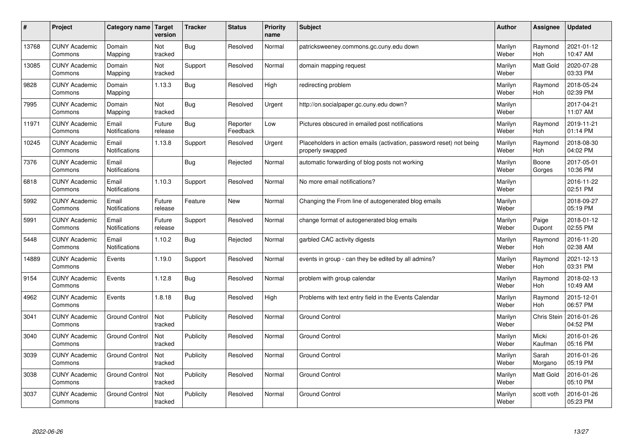| $\pmb{\sharp}$ | Project                         | Category name                 | Target<br>version     | <b>Tracker</b> | <b>Status</b>        | <b>Priority</b><br>name | <b>Subject</b>                                                                           | <b>Author</b>    | Assignee              | <b>Updated</b>         |
|----------------|---------------------------------|-------------------------------|-----------------------|----------------|----------------------|-------------------------|------------------------------------------------------------------------------------------|------------------|-----------------------|------------------------|
| 13768          | <b>CUNY Academic</b><br>Commons | Domain<br>Mapping             | Not<br>tracked        | Bug            | Resolved             | Normal                  | patricksweeney.commons.gc.cuny.edu down                                                  | Marilyn<br>Weber | Raymond<br><b>Hoh</b> | 2021-01-12<br>10:47 AM |
| 13085          | <b>CUNY Academic</b><br>Commons | Domain<br>Mapping             | Not<br>tracked        | Support        | Resolved             | Normal                  | domain mapping request                                                                   | Marilyn<br>Weber | <b>Matt Gold</b>      | 2020-07-28<br>03:33 PM |
| 9828           | <b>CUNY Academic</b><br>Commons | Domain<br>Mapping             | 1.13.3                | <b>Bug</b>     | Resolved             | High                    | redirecting problem                                                                      | Marilyn<br>Weber | Raymond<br><b>Hoh</b> | 2018-05-24<br>02:39 PM |
| 7995           | <b>CUNY Academic</b><br>Commons | Domain<br>Mapping             | <b>Not</b><br>tracked | <b>Bug</b>     | Resolved             | Urgent                  | http://on.socialpaper.gc.cuny.edu down?                                                  | Marilyn<br>Weber |                       | 2017-04-21<br>11:07 AM |
| 11971          | <b>CUNY Academic</b><br>Commons | Email<br>Notifications        | Future<br>release     | Bug            | Reporter<br>Feedback | Low                     | Pictures obscured in emailed post notifications                                          | Marilyn<br>Weber | Raymond<br>Hoh        | 2019-11-21<br>01:14 PM |
| 10245          | <b>CUNY Academic</b><br>Commons | Email<br>Notifications        | 1.13.8                | Support        | Resolved             | Urgent                  | Placeholders in action emails (activation, password reset) not being<br>properly swapped | Marilyn<br>Weber | Raymond<br><b>Hoh</b> | 2018-08-30<br>04:02 PM |
| 7376           | <b>CUNY Academic</b><br>Commons | Email<br>Notifications        |                       | <b>Bug</b>     | Rejected             | Normal                  | automatic forwarding of blog posts not working                                           | Marilyn<br>Weber | Boone<br>Gorges       | 2017-05-01<br>10:36 PM |
| 6818           | <b>CUNY Academic</b><br>Commons | Email<br><b>Notifications</b> | 1.10.3                | Support        | Resolved             | Normal                  | No more email notifications?                                                             | Marilyn<br>Weber |                       | 2016-11-22<br>02:51 PM |
| 5992           | <b>CUNY Academic</b><br>Commons | Email<br>Notifications        | Future<br>release     | Feature        | <b>New</b>           | Normal                  | Changing the From line of autogenerated blog emails                                      | Marilyn<br>Weber |                       | 2018-09-27<br>05:19 PM |
| 5991           | <b>CUNY Academic</b><br>Commons | Email<br>Notifications        | Future<br>release     | Support        | Resolved             | Normal                  | change format of autogenerated blog emails                                               | Marilyn<br>Weber | Paige<br>Dupont       | 2018-01-12<br>02:55 PM |
| 5448           | <b>CUNY Academic</b><br>Commons | Email<br>Notifications        | 1.10.2                | <b>Bug</b>     | Rejected             | Normal                  | garbled CAC activity digests                                                             | Marilyn<br>Weber | Raymond<br>Hoh        | 2016-11-20<br>02:38 AM |
| 14889          | <b>CUNY Academic</b><br>Commons | Events                        | 1.19.0                | Support        | Resolved             | Normal                  | events in group - can they be edited by all admins?                                      | Marilyn<br>Weber | Raymond<br>Hoh        | 2021-12-13<br>03:31 PM |
| 9154           | <b>CUNY Academic</b><br>Commons | Events                        | 1.12.8                | Bug            | Resolved             | Normal                  | problem with group calendar                                                              | Marilyn<br>Weber | Raymond<br>Hoh        | 2018-02-13<br>10:49 AM |
| 4962           | <b>CUNY Academic</b><br>Commons | Events                        | 1.8.18                | <b>Bug</b>     | Resolved             | High                    | Problems with text entry field in the Events Calendar                                    | Marilyn<br>Weber | Raymond<br>Hoh        | 2015-12-01<br>06:57 PM |
| 3041           | <b>CUNY Academic</b><br>Commons | <b>Ground Control</b>         | Not<br>tracked        | Publicity      | Resolved             | Normal                  | <b>Ground Control</b>                                                                    | Marilyn<br>Weber | Chris Stein           | 2016-01-26<br>04:52 PM |
| 3040           | <b>CUNY Academic</b><br>Commons | <b>Ground Control</b>         | Not<br>tracked        | Publicity      | Resolved             | Normal                  | <b>Ground Control</b>                                                                    | Marilyn<br>Weber | Micki<br>Kaufman      | 2016-01-26<br>05:16 PM |
| 3039           | <b>CUNY Academic</b><br>Commons | <b>Ground Control</b>         | Not<br>tracked        | Publicity      | Resolved             | Normal                  | <b>Ground Control</b>                                                                    | Marilyn<br>Weber | Sarah<br>Morgano      | 2016-01-26<br>05:19 PM |
| 3038           | <b>CUNY Academic</b><br>Commons | <b>Ground Control</b>         | Not<br>tracked        | Publicity      | Resolved             | Normal                  | <b>Ground Control</b>                                                                    | Marilyn<br>Weber | Matt Gold             | 2016-01-26<br>05:10 PM |
| 3037           | <b>CUNY Academic</b><br>Commons | <b>Ground Control</b>         | Not<br>tracked        | Publicity      | Resolved             | Normal                  | <b>Ground Control</b>                                                                    | Marilyn<br>Weber | scott voth            | 2016-01-26<br>05:23 PM |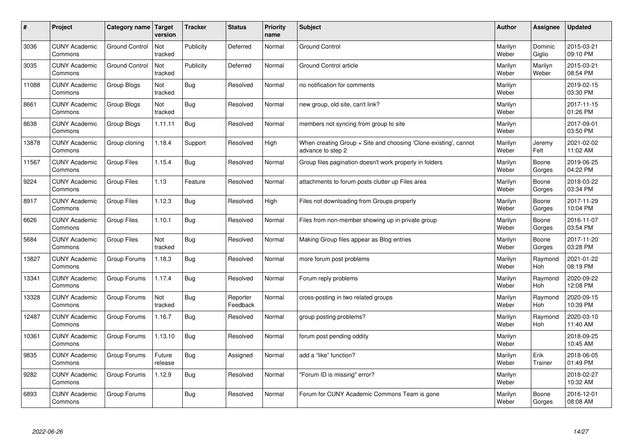| $\sharp$ | Project                         | Category name   Target | version           | <b>Tracker</b> | <b>Status</b>        | <b>Priority</b><br>name | <b>Subject</b>                                                                        | <b>Author</b>    | <b>Assignee</b>       | <b>Updated</b>         |
|----------|---------------------------------|------------------------|-------------------|----------------|----------------------|-------------------------|---------------------------------------------------------------------------------------|------------------|-----------------------|------------------------|
| 3036     | <b>CUNY Academic</b><br>Commons | <b>Ground Control</b>  | Not<br>tracked    | Publicity      | Deferred             | Normal                  | <b>Ground Control</b>                                                                 | Marilyn<br>Weber | Dominic<br>Giglio     | 2015-03-21<br>09:10 PM |
| 3035     | <b>CUNY Academic</b><br>Commons | <b>Ground Control</b>  | Not<br>tracked    | Publicity      | Deferred             | Normal                  | Ground Control article                                                                | Marilyn<br>Weber | Marilyn<br>Weber      | 2015-03-21<br>08:54 PM |
| 11088    | <b>CUNY Academic</b><br>Commons | Group Blogs            | Not<br>tracked    | Bug            | Resolved             | Normal                  | no notification for comments                                                          | Marilyn<br>Weber |                       | 2019-02-15<br>03:30 PM |
| 8661     | <b>CUNY Academic</b><br>Commons | Group Blogs            | Not<br>tracked    | Bug            | Resolved             | Normal                  | new group, old site, can't link?                                                      | Marilyn<br>Weber |                       | 2017-11-15<br>01:26 PM |
| 8638     | <b>CUNY Academic</b><br>Commons | Group Blogs            | 1.11.11           | Bug            | Resolved             | Normal                  | members not syncing from group to site                                                | Marilyn<br>Weber |                       | 2017-09-01<br>03:50 PM |
| 13878    | <b>CUNY Academic</b><br>Commons | Group cloning          | 1.18.4            | Support        | Resolved             | High                    | When creating Group + Site and choosing 'Clone existing', cannot<br>advance to step 2 | Marilyn<br>Weber | Jeremy<br>Felt        | 2021-02-02<br>11:02 AM |
| 11567    | <b>CUNY Academic</b><br>Commons | Group Files            | 1.15.4            | <b>Bug</b>     | Resolved             | Normal                  | Group files pagination doesn't work properly in folders                               | Marilyn<br>Weber | Boone<br>Gorges       | 2019-06-25<br>04:22 PM |
| 9224     | <b>CUNY Academic</b><br>Commons | <b>Group Files</b>     | 1.13              | Feature        | Resolved             | Normal                  | attachments to forum posts clutter up Files area                                      | Marilyn<br>Weber | Boone<br>Gorges       | 2018-03-22<br>03:34 PM |
| 8917     | <b>CUNY Academic</b><br>Commons | Group Files            | 1.12.3            | Bug            | Resolved             | High                    | Files not downloading from Groups properly                                            | Marilyn<br>Weber | Boone<br>Gorges       | 2017-11-29<br>10:04 PM |
| 6626     | <b>CUNY Academic</b><br>Commons | Group Files            | 1.10.1            | Bug            | Resolved             | Normal                  | Files from non-member showing up in private group                                     | Marilyn<br>Weber | Boone<br>Gorges       | 2016-11-07<br>03:54 PM |
| 5684     | <b>CUNY Academic</b><br>Commons | Group Files            | Not<br>tracked    | <b>Bug</b>     | Resolved             | Normal                  | Making Group files appear as Blog entries                                             | Marilyn<br>Weber | Boone<br>Gorges       | 2017-11-20<br>03:28 PM |
| 13827    | <b>CUNY Academic</b><br>Commons | Group Forums           | 1.18.3            | Bug            | Resolved             | Normal                  | more forum post problems                                                              | Marilyn<br>Weber | Raymond<br>Hoh        | 2021-01-22<br>08:19 PM |
| 13341    | <b>CUNY Academic</b><br>Commons | Group Forums           | 1.17.4            | Bug            | Resolved             | Normal                  | Forum reply problems                                                                  | Marilyn<br>Weber | Raymond<br>Hoh        | 2020-09-22<br>12:08 PM |
| 13328    | <b>CUNY Academic</b><br>Commons | Group Forums           | Not<br>tracked    | Bug            | Reporter<br>Feedback | Normal                  | cross-posting in two related groups                                                   | Marilyn<br>Weber | Raymond<br><b>Hoh</b> | 2020-09-15<br>10:39 PM |
| 12487    | <b>CUNY Academic</b><br>Commons | Group Forums           | 1.16.7            | <b>Bug</b>     | Resolved             | Normal                  | group posting problems?                                                               | Marilyn<br>Weber | Raymond<br><b>Hoh</b> | 2020-03-10<br>11:40 AM |
| 10361    | <b>CUNY Academic</b><br>Commons | Group Forums           | 1.13.10           | Bug            | Resolved             | Normal                  | forum post pending oddity                                                             | Marilyn<br>Weber |                       | 2018-09-25<br>10:45 AM |
| 9835     | <b>CUNY Academic</b><br>Commons | Group Forums           | Future<br>release | Bug            | Assigned             | Normal                  | add a "like" function?                                                                | Marilyn<br>Weber | Erik<br>Trainer       | 2018-06-05<br>01:49 PM |
| 9282     | <b>CUNY Academic</b><br>Commons | Group Forums           | 1.12.9            | <b>Bug</b>     | Resolved             | Normal                  | 'Forum ID is missing" error?                                                          | Marilyn<br>Weber |                       | 2018-02-27<br>10:32 AM |
| 6893     | <b>CUNY Academic</b><br>Commons | Group Forums           |                   | <b>Bug</b>     | Resolved             | Normal                  | Forum for CUNY Academic Commons Team is gone                                          | Marilyn<br>Weber | Boone<br>Gorges       | 2016-12-01<br>08:08 AM |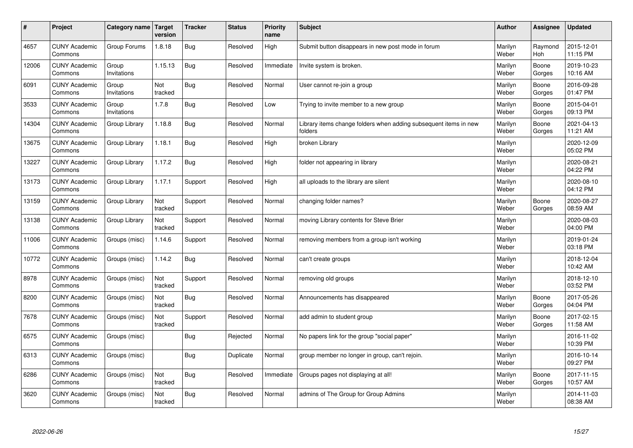| #     | Project                         | Category name   Target | version        | <b>Tracker</b> | <b>Status</b> | <b>Priority</b><br>name | <b>Subject</b>                                                              | <b>Author</b>    | <b>Assignee</b>       | <b>Updated</b>         |
|-------|---------------------------------|------------------------|----------------|----------------|---------------|-------------------------|-----------------------------------------------------------------------------|------------------|-----------------------|------------------------|
| 4657  | <b>CUNY Academic</b><br>Commons | Group Forums           | 1.8.18         | <b>Bug</b>     | Resolved      | High                    | Submit button disappears in new post mode in forum                          | Marilyn<br>Weber | Raymond<br><b>Hoh</b> | 2015-12-01<br>11:15 PM |
| 12006 | <b>CUNY Academic</b><br>Commons | Group<br>Invitations   | 1.15.13        | <b>Bug</b>     | Resolved      | Immediate               | Invite system is broken.                                                    | Marilyn<br>Weber | Boone<br>Gorges       | 2019-10-23<br>10:16 AM |
| 6091  | <b>CUNY Academic</b><br>Commons | Group<br>Invitations   | Not<br>tracked | Bug            | Resolved      | Normal                  | User cannot re-join a group                                                 | Marilyn<br>Weber | Boone<br>Gorges       | 2016-09-28<br>01:47 PM |
| 3533  | <b>CUNY Academic</b><br>Commons | Group<br>Invitations   | 1.7.8          | <b>Bug</b>     | Resolved      | Low                     | Trying to invite member to a new group                                      | Marilyn<br>Weber | Boone<br>Gorges       | 2015-04-01<br>09:13 PM |
| 14304 | <b>CUNY Academic</b><br>Commons | Group Library          | 1.18.8         | <b>Bug</b>     | Resolved      | Normal                  | Library items change folders when adding subsequent items in new<br>folders | Marilyn<br>Weber | Boone<br>Gorges       | 2021-04-13<br>11:21 AM |
| 13675 | <b>CUNY Academic</b><br>Commons | Group Library          | 1.18.1         | Bug            | Resolved      | High                    | broken Library                                                              | Marilyn<br>Weber |                       | 2020-12-09<br>05:02 PM |
| 13227 | <b>CUNY Academic</b><br>Commons | Group Library          | 1.17.2         | Bug            | Resolved      | High                    | folder not appearing in library                                             | Marilyn<br>Weber |                       | 2020-08-21<br>04:22 PM |
| 13173 | <b>CUNY Academic</b><br>Commons | Group Library          | 1.17.1         | Support        | Resolved      | High                    | all uploads to the library are silent                                       | Marilyn<br>Weber |                       | 2020-08-10<br>04:12 PM |
| 13159 | <b>CUNY Academic</b><br>Commons | Group Library          | Not<br>tracked | Support        | Resolved      | Normal                  | changing folder names?                                                      | Marilyn<br>Weber | Boone<br>Gorges       | 2020-08-27<br>08:59 AM |
| 13138 | <b>CUNY Academic</b><br>Commons | Group Library          | Not<br>tracked | Support        | Resolved      | Normal                  | moving Library contents for Steve Brier                                     | Marilyn<br>Weber |                       | 2020-08-03<br>04:00 PM |
| 11006 | <b>CUNY Academic</b><br>Commons | Groups (misc)          | 1.14.6         | Support        | Resolved      | Normal                  | removing members from a group isn't working                                 | Marilyn<br>Weber |                       | 2019-01-24<br>03:18 PM |
| 10772 | <b>CUNY Academic</b><br>Commons | Groups (misc)          | 1.14.2         | <b>Bug</b>     | Resolved      | Normal                  | can't create groups                                                         | Marilyn<br>Weber |                       | 2018-12-04<br>10:42 AM |
| 8978  | <b>CUNY Academic</b><br>Commons | Groups (misc)          | Not<br>tracked | Support        | Resolved      | Normal                  | removing old groups                                                         | Marilyn<br>Weber |                       | 2018-12-10<br>03:52 PM |
| 8200  | <b>CUNY Academic</b><br>Commons | Groups (misc)          | Not<br>tracked | Bug            | Resolved      | Normal                  | Announcements has disappeared                                               | Marilyn<br>Weber | Boone<br>Gorges       | 2017-05-26<br>04:04 PM |
| 7678  | <b>CUNY Academic</b><br>Commons | Groups (misc)          | Not<br>tracked | Support        | Resolved      | Normal                  | add admin to student group                                                  | Marilyn<br>Weber | Boone<br>Gorges       | 2017-02-15<br>11:58 AM |
| 6575  | <b>CUNY Academic</b><br>Commons | Groups (misc)          |                | Bug            | Rejected      | Normal                  | No papers link for the group "social paper"                                 | Marilyn<br>Weber |                       | 2016-11-02<br>10:39 PM |
| 6313  | <b>CUNY Academic</b><br>Commons | Groups (misc)          |                | Bug            | Duplicate     | Normal                  | group member no longer in group, can't rejoin.                              | Marilyn<br>Weber |                       | 2016-10-14<br>09:27 PM |
| 6286  | <b>CUNY Academic</b><br>Commons | Groups (misc)          | Not<br>tracked | Bug            | Resolved      | Immediate               | Groups pages not displaying at all!                                         | Marilyn<br>Weber | Boone<br>Gorges       | 2017-11-15<br>10:57 AM |
| 3620  | <b>CUNY Academic</b><br>Commons | Groups (misc)          | Not<br>tracked | Bug            | Resolved      | Normal                  | admins of The Group for Group Admins                                        | Marilyn<br>Weber |                       | 2014-11-03<br>08:38 AM |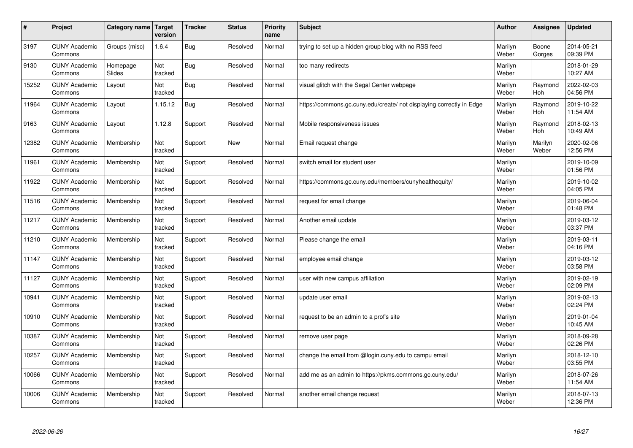| #     | Project                         | Category name   Target | version        | <b>Tracker</b> | <b>Status</b> | <b>Priority</b><br>name | <b>Subject</b>                                                       | <b>Author</b>    | <b>Assignee</b>  | <b>Updated</b>         |
|-------|---------------------------------|------------------------|----------------|----------------|---------------|-------------------------|----------------------------------------------------------------------|------------------|------------------|------------------------|
| 3197  | <b>CUNY Academic</b><br>Commons | Groups (misc)          | 1.6.4          | <b>Bug</b>     | Resolved      | Normal                  | trying to set up a hidden group blog with no RSS feed                | Marilyn<br>Weber | Boone<br>Gorges  | 2014-05-21<br>09:39 PM |
| 9130  | <b>CUNY Academic</b><br>Commons | Homepage<br>Slides     | Not<br>tracked | <b>Bug</b>     | Resolved      | Normal                  | too many redirects                                                   | Marilyn<br>Weber |                  | 2018-01-29<br>10:27 AM |
| 15252 | <b>CUNY Academic</b><br>Commons | Layout                 | Not<br>tracked | Bug            | Resolved      | Normal                  | visual glitch with the Segal Center webpage                          | Marilyn<br>Weber | Raymond<br>Hoh   | 2022-02-03<br>04:56 PM |
| 11964 | <b>CUNY Academic</b><br>Commons | Layout                 | 1.15.12        | Bug            | Resolved      | Normal                  | https://commons.gc.cuny.edu/create/ not displaying correctly in Edge | Marilyn<br>Weber | Raymond<br>Hoh   | 2019-10-22<br>11:54 AM |
| 9163  | <b>CUNY Academic</b><br>Commons | Layout                 | 1.12.8         | Support        | Resolved      | Normal                  | Mobile responsiveness issues                                         | Marilyn<br>Weber | Raymond<br>Hoh   | 2018-02-13<br>10:49 AM |
| 12382 | <b>CUNY Academic</b><br>Commons | Membership             | Not<br>tracked | Support        | <b>New</b>    | Normal                  | Email request change                                                 | Marilyn<br>Weber | Marilyn<br>Weber | 2020-02-06<br>12:56 PM |
| 11961 | <b>CUNY Academic</b><br>Commons | Membership             | Not<br>tracked | Support        | Resolved      | Normal                  | switch email for student user                                        | Marilyn<br>Weber |                  | 2019-10-09<br>01:56 PM |
| 11922 | <b>CUNY Academic</b><br>Commons | Membership             | Not<br>tracked | Support        | Resolved      | Normal                  | https://commons.gc.cuny.edu/members/cunyhealthequity/                | Marilyn<br>Weber |                  | 2019-10-02<br>04:05 PM |
| 11516 | <b>CUNY Academic</b><br>Commons | Membership             | Not<br>tracked | Support        | Resolved      | Normal                  | request for email change                                             | Marilyn<br>Weber |                  | 2019-06-04<br>01:48 PM |
| 11217 | <b>CUNY Academic</b><br>Commons | Membership             | Not<br>tracked | Support        | Resolved      | Normal                  | Another email update                                                 | Marilyn<br>Weber |                  | 2019-03-12<br>03:37 PM |
| 11210 | <b>CUNY Academic</b><br>Commons | Membership             | Not<br>tracked | Support        | Resolved      | Normal                  | Please change the email                                              | Marilyn<br>Weber |                  | 2019-03-11<br>04:16 PM |
| 11147 | <b>CUNY Academic</b><br>Commons | Membership             | Not<br>tracked | Support        | Resolved      | Normal                  | employee email change                                                | Marilyn<br>Weber |                  | 2019-03-12<br>03:58 PM |
| 11127 | <b>CUNY Academic</b><br>Commons | Membership             | Not<br>tracked | Support        | Resolved      | Normal                  | user with new campus affiliation                                     | Marilyn<br>Weber |                  | 2019-02-19<br>02:09 PM |
| 10941 | <b>CUNY Academic</b><br>Commons | Membership             | Not<br>tracked | Support        | Resolved      | Normal                  | update user email                                                    | Marilyn<br>Weber |                  | 2019-02-13<br>02:24 PM |
| 10910 | <b>CUNY Academic</b><br>Commons | Membership             | Not<br>tracked | Support        | Resolved      | Normal                  | request to be an admin to a prof's site                              | Marilyn<br>Weber |                  | 2019-01-04<br>10:45 AM |
| 10387 | <b>CUNY Academic</b><br>Commons | Membership             | Not<br>tracked | Support        | Resolved      | Normal                  | remove user page                                                     | Marilyn<br>Weber |                  | 2018-09-28<br>02:26 PM |
| 10257 | <b>CUNY Academic</b><br>Commons | Membership             | Not<br>tracked | Support        | Resolved      | Normal                  | change the email from @login.cuny.edu to campu email                 | Marilyn<br>Weber |                  | 2018-12-10<br>03:55 PM |
| 10066 | <b>CUNY Academic</b><br>Commons | Membership             | Not<br>tracked | Support        | Resolved      | Normal                  | add me as an admin to https://pkms.commons.gc.cuny.edu/              | Marilyn<br>Weber |                  | 2018-07-26<br>11:54 AM |
| 10006 | <b>CUNY Academic</b><br>Commons | Membership             | Not<br>tracked | Support        | Resolved      | Normal                  | another email change request                                         | Marilyn<br>Weber |                  | 2018-07-13<br>12:36 PM |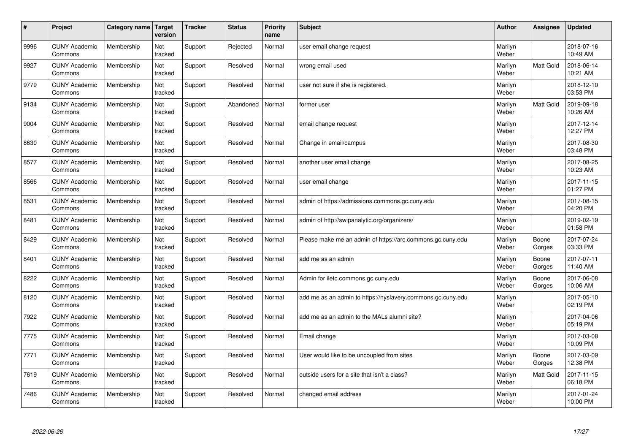| #    | Project                         | Category name | Target<br>version | <b>Tracker</b> | <b>Status</b> | <b>Priority</b><br>name | <b>Subject</b>                                              | <b>Author</b>    | Assignee         | <b>Updated</b>         |
|------|---------------------------------|---------------|-------------------|----------------|---------------|-------------------------|-------------------------------------------------------------|------------------|------------------|------------------------|
| 9996 | <b>CUNY Academic</b><br>Commons | Membership    | Not<br>tracked    | Support        | Rejected      | Normal                  | user email change request                                   | Marilyn<br>Weber |                  | 2018-07-16<br>10:49 AM |
| 9927 | <b>CUNY Academic</b><br>Commons | Membership    | Not<br>tracked    | Support        | Resolved      | Normal                  | wrong email used                                            | Marilyn<br>Weber | <b>Matt Gold</b> | 2018-06-14<br>10:21 AM |
| 9779 | <b>CUNY Academic</b><br>Commons | Membership    | Not<br>tracked    | Support        | Resolved      | Normal                  | user not sure if she is registered.                         | Marilyn<br>Weber |                  | 2018-12-10<br>03:53 PM |
| 9134 | <b>CUNY Academic</b><br>Commons | Membership    | Not<br>tracked    | Support        | Abandoned     | Normal                  | former user                                                 | Marilyn<br>Weber | Matt Gold        | 2019-09-18<br>10:26 AM |
| 9004 | <b>CUNY Academic</b><br>Commons | Membership    | Not<br>tracked    | Support        | Resolved      | Normal                  | email change request                                        | Marilyn<br>Weber |                  | 2017-12-14<br>12:27 PM |
| 8630 | <b>CUNY Academic</b><br>Commons | Membership    | Not<br>tracked    | Support        | Resolved      | Normal                  | Change in email/campus                                      | Marilyn<br>Weber |                  | 2017-08-30<br>03:48 PM |
| 8577 | <b>CUNY Academic</b><br>Commons | Membership    | Not<br>tracked    | Support        | Resolved      | Normal                  | another user email change                                   | Marilyn<br>Weber |                  | 2017-08-25<br>10:23 AM |
| 8566 | <b>CUNY Academic</b><br>Commons | Membership    | Not<br>tracked    | Support        | Resolved      | Normal                  | user email change                                           | Marilyn<br>Weber |                  | 2017-11-15<br>01:27 PM |
| 8531 | <b>CUNY Academic</b><br>Commons | Membership    | Not<br>tracked    | Support        | Resolved      | Normal                  | admin of https://admissions.commons.gc.cuny.edu             | Marilyn<br>Weber |                  | 2017-08-15<br>04:20 PM |
| 8481 | <b>CUNY Academic</b><br>Commons | Membership    | Not<br>tracked    | Support        | Resolved      | Normal                  | admin of http://swipanalytic.org/organizers/                | Marilyn<br>Weber |                  | 2019-02-19<br>01:58 PM |
| 8429 | <b>CUNY Academic</b><br>Commons | Membership    | Not<br>tracked    | Support        | Resolved      | Normal                  | Please make me an admin of https://arc.commons.gc.cuny.edu  | Marilyn<br>Weber | Boone<br>Gorges  | 2017-07-24<br>03:33 PM |
| 8401 | <b>CUNY Academic</b><br>Commons | Membership    | Not<br>tracked    | Support        | Resolved      | Normal                  | add me as an admin                                          | Marilyn<br>Weber | Boone<br>Gorges  | 2017-07-11<br>11:40 AM |
| 8222 | <b>CUNY Academic</b><br>Commons | Membership    | Not<br>tracked    | Support        | Resolved      | Normal                  | Admin for iletc.commons.gc.cuny.edu                         | Marilyn<br>Weber | Boone<br>Gorges  | 2017-06-08<br>10:06 AM |
| 8120 | <b>CUNY Academic</b><br>Commons | Membership    | Not<br>tracked    | Support        | Resolved      | Normal                  | add me as an admin to https://nyslavery.commons.gc.cuny.edu | Marilyn<br>Weber |                  | 2017-05-10<br>02:19 PM |
| 7922 | <b>CUNY Academic</b><br>Commons | Membership    | Not<br>tracked    | Support        | Resolved      | Normal                  | add me as an admin to the MALs alumni site?                 | Marilyn<br>Weber |                  | 2017-04-06<br>05:19 PM |
| 7775 | <b>CUNY Academic</b><br>Commons | Membership    | Not<br>tracked    | Support        | Resolved      | Normal                  | Email change                                                | Marilyn<br>Weber |                  | 2017-03-08<br>10:09 PM |
| 7771 | <b>CUNY Academic</b><br>Commons | Membership    | Not<br>tracked    | Support        | Resolved      | Normal                  | User would like to be uncoupled from sites                  | Marilyn<br>Weber | Boone<br>Gorges  | 2017-03-09<br>12:38 PM |
| 7619 | <b>CUNY Academic</b><br>Commons | Membership    | Not<br>tracked    | Support        | Resolved      | Normal                  | outside users for a site that isn't a class?                | Marilyn<br>Weber | <b>Matt Gold</b> | 2017-11-15<br>06:18 PM |
| 7486 | <b>CUNY Academic</b><br>Commons | Membership    | Not<br>tracked    | Support        | Resolved      | Normal                  | changed email address                                       | Marilyn<br>Weber |                  | 2017-01-24<br>10:00 PM |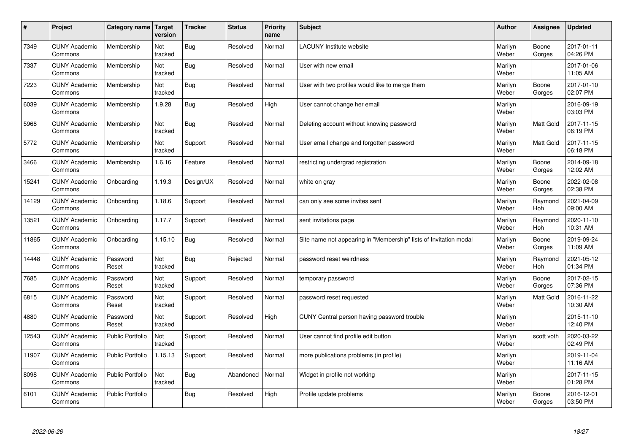| $\#$  | Project                         | Category name   Target  | version        | <b>Tracker</b> | <b>Status</b> | <b>Priority</b><br>name | <b>Subject</b>                                                    | <b>Author</b>    | <b>Assignee</b>  | <b>Updated</b>         |
|-------|---------------------------------|-------------------------|----------------|----------------|---------------|-------------------------|-------------------------------------------------------------------|------------------|------------------|------------------------|
| 7349  | <b>CUNY Academic</b><br>Commons | Membership              | Not<br>tracked | <b>Bug</b>     | Resolved      | Normal                  | <b>LACUNY</b> Institute website                                   | Marilyn<br>Weber | Boone<br>Gorges  | 2017-01-11<br>04:26 PM |
| 7337  | <b>CUNY Academic</b><br>Commons | Membership              | Not<br>tracked | Bug            | Resolved      | Normal                  | User with new email                                               | Marilyn<br>Weber |                  | 2017-01-06<br>11:05 AM |
| 7223  | <b>CUNY Academic</b><br>Commons | Membership              | Not<br>tracked | Bug            | Resolved      | Normal                  | User with two profiles would like to merge them                   | Marilyn<br>Weber | Boone<br>Gorges  | 2017-01-10<br>02:07 PM |
| 6039  | <b>CUNY Academic</b><br>Commons | Membership              | 1.9.28         | Bug            | Resolved      | High                    | User cannot change her email                                      | Marilyn<br>Weber |                  | 2016-09-19<br>03:03 PM |
| 5968  | <b>CUNY Academic</b><br>Commons | Membership              | Not<br>tracked | Bug            | Resolved      | Normal                  | Deleting account without knowing password                         | Marilyn<br>Weber | <b>Matt Gold</b> | 2017-11-15<br>06:19 PM |
| 5772  | <b>CUNY Academic</b><br>Commons | Membership              | Not<br>tracked | Support        | Resolved      | Normal                  | User email change and forgotten password                          | Marilyn<br>Weber | <b>Matt Gold</b> | 2017-11-15<br>06:18 PM |
| 3466  | <b>CUNY Academic</b><br>Commons | Membership              | 1.6.16         | Feature        | Resolved      | Normal                  | restricting undergrad registration                                | Marilyn<br>Weber | Boone<br>Gorges  | 2014-09-18<br>12:02 AM |
| 15241 | <b>CUNY Academic</b><br>Commons | Onboarding              | 1.19.3         | Design/UX      | Resolved      | Normal                  | white on gray                                                     | Marilyn<br>Weber | Boone<br>Gorges  | 2022-02-08<br>02:38 PM |
| 14129 | <b>CUNY Academic</b><br>Commons | Onboarding              | 1.18.6         | Support        | Resolved      | Normal                  | can only see some invites sent                                    | Marilyn<br>Weber | Raymond<br>Hoh   | 2021-04-09<br>09:00 AM |
| 13521 | <b>CUNY Academic</b><br>Commons | Onboarding              | 1.17.7         | Support        | Resolved      | Normal                  | sent invitations page                                             | Marilyn<br>Weber | Raymond<br>Hoh   | 2020-11-10<br>10:31 AM |
| 11865 | <b>CUNY Academic</b><br>Commons | Onboarding              | 1.15.10        | Bug            | Resolved      | Normal                  | Site name not appearing in "Membership" lists of Invitation modal | Marilyn<br>Weber | Boone<br>Gorges  | 2019-09-24<br>11:09 AM |
| 14448 | <b>CUNY Academic</b><br>Commons | Password<br>Reset       | Not<br>tracked | <b>Bug</b>     | Rejected      | Normal                  | password reset weirdness                                          | Marilyn<br>Weber | Raymond<br>Hoh   | 2021-05-12<br>01:34 PM |
| 7685  | <b>CUNY Academic</b><br>Commons | Password<br>Reset       | Not<br>tracked | Support        | Resolved      | Normal                  | temporary password                                                | Marilyn<br>Weber | Boone<br>Gorges  | 2017-02-15<br>07:36 PM |
| 6815  | <b>CUNY Academic</b><br>Commons | Password<br>Reset       | Not<br>tracked | Support        | Resolved      | Normal                  | password reset requested                                          | Marilyn<br>Weber | <b>Matt Gold</b> | 2016-11-22<br>10:30 AM |
| 4880  | <b>CUNY Academic</b><br>Commons | Password<br>Reset       | Not<br>tracked | Support        | Resolved      | High                    | CUNY Central person having password trouble                       | Marilyn<br>Weber |                  | 2015-11-10<br>12:40 PM |
| 12543 | <b>CUNY Academic</b><br>Commons | <b>Public Portfolio</b> | Not<br>tracked | Support        | Resolved      | Normal                  | User cannot find profile edit button                              | Marilyn<br>Weber | scott voth       | 2020-03-22<br>02:49 PM |
| 11907 | <b>CUNY Academic</b><br>Commons | Public Portfolio        | 1.15.13        | Support        | Resolved      | Normal                  | more publications problems (in profile)                           | Marilyn<br>Weber |                  | 2019-11-04<br>11:16 AM |
| 8098  | <b>CUNY Academic</b><br>Commons | <b>Public Portfolio</b> | Not<br>tracked | Bug            | Abandoned     | Normal                  | Widget in profile not working                                     | Marilyn<br>Weber |                  | 2017-11-15<br>01:28 PM |
| 6101  | <b>CUNY Academic</b><br>Commons | <b>Public Portfolio</b> |                | Bug            | Resolved      | High                    | Profile update problems                                           | Marilyn<br>Weber | Boone<br>Gorges  | 2016-12-01<br>03:50 PM |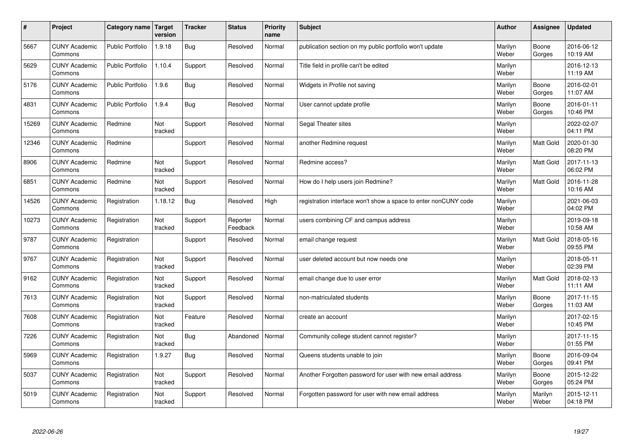| $\pmb{\#}$ | Project                         | Category name           | Target<br>version | <b>Tracker</b> | <b>Status</b>        | <b>Priority</b><br>name | <b>Subject</b>                                                  | <b>Author</b>    | Assignee         | <b>Updated</b>         |
|------------|---------------------------------|-------------------------|-------------------|----------------|----------------------|-------------------------|-----------------------------------------------------------------|------------------|------------------|------------------------|
| 5667       | <b>CUNY Academic</b><br>Commons | <b>Public Portfolio</b> | 1.9.18            | <b>Bug</b>     | Resolved             | Normal                  | publication section on my public portfolio won't update         | Marilyn<br>Weber | Boone<br>Gorges  | 2016-06-12<br>10:19 AM |
| 5629       | <b>CUNY Academic</b><br>Commons | <b>Public Portfolio</b> | 1.10.4            | Support        | Resolved             | Normal                  | Title field in profile can't be edited                          | Marilyn<br>Weber |                  | 2016-12-13<br>11:19 AM |
| 5176       | <b>CUNY Academic</b><br>Commons | <b>Public Portfolio</b> | 1.9.6             | Bug            | Resolved             | Normal                  | Widgets in Profile not saving                                   | Marilyn<br>Weber | Boone<br>Gorges  | 2016-02-01<br>11:07 AM |
| 4831       | <b>CUNY Academic</b><br>Commons | <b>Public Portfolio</b> | 1.9.4             | <b>Bug</b>     | Resolved             | Normal                  | User cannot update profile                                      | Marilyn<br>Weber | Boone<br>Gorges  | 2016-01-11<br>10:46 PM |
| 15269      | <b>CUNY Academic</b><br>Commons | Redmine                 | Not<br>tracked    | Support        | Resolved             | Normal                  | Segal Theater sites                                             | Marilyn<br>Weber |                  | 2022-02-07<br>04:11 PM |
| 12346      | <b>CUNY Academic</b><br>Commons | Redmine                 |                   | Support        | Resolved             | Normal                  | another Redmine request                                         | Marilyn<br>Weber | <b>Matt Gold</b> | 2020-01-30<br>08:20 PM |
| 8906       | <b>CUNY Academic</b><br>Commons | Redmine                 | Not<br>tracked    | Support        | Resolved             | Normal                  | Redmine access?                                                 | Marilyn<br>Weber | Matt Gold        | 2017-11-13<br>06:02 PM |
| 6851       | <b>CUNY Academic</b><br>Commons | Redmine                 | Not<br>tracked    | Support        | Resolved             | Normal                  | How do I help users join Redmine?                               | Marilyn<br>Weber | Matt Gold        | 2016-11-28<br>10:16 AM |
| 14526      | <b>CUNY Academic</b><br>Commons | Registration            | 1.18.12           | Bug            | Resolved             | High                    | registration interface won't show a space to enter nonCUNY code | Marilyn<br>Weber |                  | 2021-06-03<br>04:02 PM |
| 10273      | <b>CUNY Academic</b><br>Commons | Registration            | Not<br>tracked    | Support        | Reporter<br>Feedback | Normal                  | users combining CF and campus address                           | Marilyn<br>Weber |                  | 2019-09-18<br>10:58 AM |
| 9787       | <b>CUNY Academic</b><br>Commons | Registration            |                   | Support        | Resolved             | Normal                  | email change request                                            | Marilyn<br>Weber | Matt Gold        | 2018-05-16<br>09:55 PM |
| 9767       | <b>CUNY Academic</b><br>Commons | Registration            | Not<br>tracked    | Support        | Resolved             | Normal                  | user deleted account but now needs one                          | Marilyn<br>Weber |                  | 2018-05-11<br>02:39 PM |
| 9162       | <b>CUNY Academic</b><br>Commons | Registration            | Not<br>tracked    | Support        | Resolved             | Normal                  | email change due to user error                                  | Marilyn<br>Weber | Matt Gold        | 2018-02-13<br>11:11 AM |
| 7613       | <b>CUNY Academic</b><br>Commons | Registration            | Not<br>tracked    | Support        | Resolved             | Normal                  | non-matriculated students                                       | Marilyn<br>Weber | Boone<br>Gorges  | 2017-11-15<br>11:03 AM |
| 7608       | <b>CUNY Academic</b><br>Commons | Registration            | Not<br>tracked    | Feature        | Resolved             | Normal                  | create an account                                               | Marilyn<br>Weber |                  | 2017-02-15<br>10:45 PM |
| 7226       | <b>CUNY Academic</b><br>Commons | Registration            | Not<br>tracked    | <b>Bug</b>     | Abandoned            | Normal                  | Community college student cannot register?                      | Marilyn<br>Weber |                  | 2017-11-15<br>01:55 PM |
| 5969       | <b>CUNY Academic</b><br>Commons | Registration            | 1.9.27            | Bug            | Resolved             | Normal                  | Queens students unable to join                                  | Marilyn<br>Weber | Boone<br>Gorges  | 2016-09-04<br>09:41 PM |
| 5037       | <b>CUNY Academic</b><br>Commons | Registration            | Not<br>tracked    | Support        | Resolved             | Normal                  | Another Forgotten password for user with new email address      | Marilyn<br>Weber | Boone<br>Gorges  | 2015-12-22<br>05:24 PM |
| 5019       | <b>CUNY Academic</b><br>Commons | Registration            | Not<br>tracked    | Support        | Resolved             | Normal                  | Forgotten password for user with new email address              | Marilyn<br>Weber | Marilyn<br>Weber | 2015-12-11<br>04:18 PM |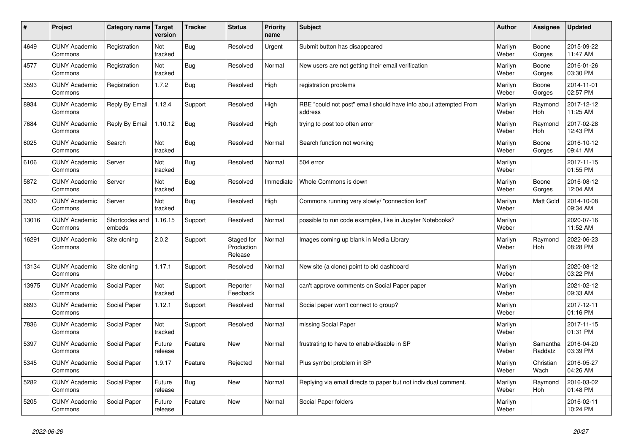| #     | Project                         | Category name   Target   | version           | <b>Tracker</b> | <b>Status</b>                       | <b>Priority</b><br>name | <b>Subject</b>                                                              | <b>Author</b>    | Assignee            | <b>Updated</b>         |
|-------|---------------------------------|--------------------------|-------------------|----------------|-------------------------------------|-------------------------|-----------------------------------------------------------------------------|------------------|---------------------|------------------------|
| 4649  | <b>CUNY Academic</b><br>Commons | Registration             | Not<br>tracked    | <b>Bug</b>     | Resolved                            | Urgent                  | Submit button has disappeared                                               | Marilyn<br>Weber | Boone<br>Gorges     | 2015-09-22<br>11:47 AM |
| 4577  | <b>CUNY Academic</b><br>Commons | Registration             | Not<br>tracked    | <b>Bug</b>     | Resolved                            | Normal                  | New users are not getting their email verification                          | Marilyn<br>Weber | Boone<br>Gorges     | 2016-01-26<br>03:30 PM |
| 3593  | <b>CUNY Academic</b><br>Commons | Registration             | 1.7.2             | Bug            | Resolved                            | High                    | registration problems                                                       | Marilyn<br>Weber | Boone<br>Gorges     | 2014-11-01<br>02:57 PM |
| 8934  | <b>CUNY Academic</b><br>Commons | Reply By Email           | 1.12.4            | Support        | Resolved                            | High                    | RBE "could not post" email should have info about attempted From<br>address | Marilyn<br>Weber | Raymond<br>Hoh      | 2017-12-12<br>11:25 AM |
| 7684  | <b>CUNY Academic</b><br>Commons | Reply By Email           | 1.10.12           | <b>Bug</b>     | Resolved                            | High                    | trying to post too often error                                              | Marilyn<br>Weber | Raymond<br>Hoh      | 2017-02-28<br>12:43 PM |
| 6025  | <b>CUNY Academic</b><br>Commons | Search                   | Not<br>tracked    | <b>Bug</b>     | Resolved                            | Normal                  | Search function not working                                                 | Marilyn<br>Weber | Boone<br>Gorges     | 2016-10-12<br>09:41 AM |
| 6106  | <b>CUNY Academic</b><br>Commons | Server                   | Not<br>tracked    | Bug            | Resolved                            | Normal                  | 504 error                                                                   | Marilyn<br>Weber |                     | 2017-11-15<br>01:55 PM |
| 5872  | <b>CUNY Academic</b><br>Commons | Server                   | Not<br>tracked    | <b>Bug</b>     | Resolved                            | Immediate               | Whole Commons is down                                                       | Marilyn<br>Weber | Boone<br>Gorges     | 2016-08-12<br>12:04 AM |
| 3530  | <b>CUNY Academic</b><br>Commons | Server                   | Not<br>tracked    | <b>Bug</b>     | Resolved                            | High                    | Commons running very slowly/ "connection lost"                              | Marilyn<br>Weber | Matt Gold           | 2014-10-08<br>09:34 AM |
| 13016 | <b>CUNY Academic</b><br>Commons | Shortcodes and<br>embeds | 1.16.15           | Support        | Resolved                            | Normal                  | possible to run code examples, like in Jupyter Notebooks?                   | Marilyn<br>Weber |                     | 2020-07-16<br>11:52 AM |
| 16291 | <b>CUNY Academic</b><br>Commons | Site cloning             | 2.0.2             | Support        | Staged for<br>Production<br>Release | Normal                  | Images coming up blank in Media Library                                     | Marilyn<br>Weber | Raymond<br>Hoh      | 2022-06-23<br>08:28 PM |
| 13134 | <b>CUNY Academic</b><br>Commons | Site cloning             | 1.17.1            | Support        | Resolved                            | Normal                  | New site (a clone) point to old dashboard                                   | Marilyn<br>Weber |                     | 2020-08-12<br>03:22 PM |
| 13975 | <b>CUNY Academic</b><br>Commons | Social Paper             | Not<br>tracked    | Support        | Reporter<br>Feedback                | Normal                  | can't approve comments on Social Paper paper                                | Marilyn<br>Weber |                     | 2021-02-12<br>09:33 AM |
| 8893  | <b>CUNY Academic</b><br>Commons | Social Paper             | 1.12.1            | Support        | Resolved                            | Normal                  | Social paper won't connect to group?                                        | Marilyn<br>Weber |                     | 2017-12-11<br>01:16 PM |
| 7836  | <b>CUNY Academic</b><br>Commons | Social Paper             | Not<br>tracked    | Support        | Resolved                            | Normal                  | missing Social Paper                                                        | Marilyn<br>Weber |                     | 2017-11-15<br>01:31 PM |
| 5397  | <b>CUNY Academic</b><br>Commons | Social Paper             | Future<br>release | Feature        | <b>New</b>                          | Normal                  | frustrating to have to enable/disable in SP                                 | Marilyn<br>Weber | Samantha<br>Raddatz | 2016-04-20<br>03:39 PM |
| 5345  | <b>CUNY Academic</b><br>Commons | Social Paper             | 1.9.17            | Feature        | Rejected                            | Normal                  | Plus symbol problem in SP                                                   | Marilyn<br>Weber | Christian<br>Wach   | 2016-05-27<br>04:26 AM |
| 5282  | <b>CUNY Academic</b><br>Commons | Social Paper             | Future<br>release | Bug            | <b>New</b>                          | Normal                  | Replying via email directs to paper but not individual comment.             | Marilyn<br>Weber | Raymond<br>Hoh      | 2016-03-02<br>01:48 PM |
| 5205  | <b>CUNY Academic</b><br>Commons | Social Paper             | Future<br>release | Feature        | <b>New</b>                          | Normal                  | Social Paper folders                                                        | Marilyn<br>Weber |                     | 2016-02-11<br>10:24 PM |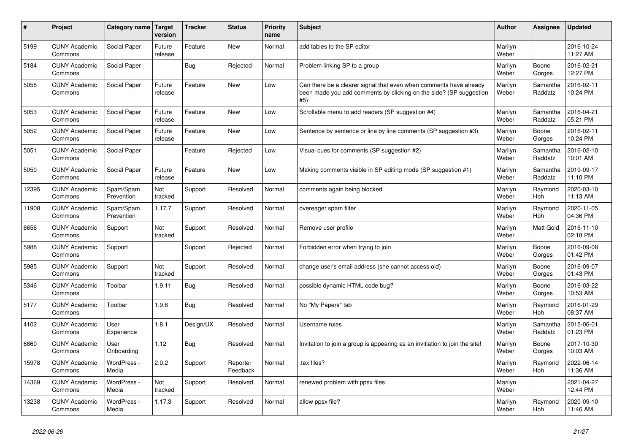| #     | Project                         | <b>Category name</b>    | Target<br>version | <b>Tracker</b> | <b>Status</b>        | <b>Priority</b><br>name | <b>Subject</b>                                                                                                                                  | Author           | Assignee              | <b>Updated</b>         |
|-------|---------------------------------|-------------------------|-------------------|----------------|----------------------|-------------------------|-------------------------------------------------------------------------------------------------------------------------------------------------|------------------|-----------------------|------------------------|
| 5199  | <b>CUNY Academic</b><br>Commons | Social Paper            | Future<br>release | Feature        | <b>New</b>           | Normal                  | add tables to the SP editor                                                                                                                     | Marilyn<br>Weber |                       | 2016-10-24<br>11:27 AM |
| 5184  | <b>CUNY Academic</b><br>Commons | Social Paper            |                   | <b>Bug</b>     | Rejected             | Normal                  | Problem linking SP to a group                                                                                                                   | Marilyn<br>Weber | Boone<br>Gorges       | 2016-02-21<br>12:27 PM |
| 5058  | <b>CUNY Academic</b><br>Commons | Social Paper            | Future<br>release | Feature        | New                  | Low                     | Can there be a clearer signal that even when comments have already<br>been made you add comments by clicking on the side? (SP suggestion<br>#5) | Marilyn<br>Weber | Samantha<br>Raddatz   | 2016-02-11<br>10:24 PM |
| 5053  | <b>CUNY Academic</b><br>Commons | Social Paper            | Future<br>release | Feature        | New                  | Low                     | Scrollable menu to add readers (SP suggestion #4)                                                                                               | Marilyn<br>Weber | Samantha<br>Raddatz   | 2016-04-21<br>05:21 PM |
| 5052  | <b>CUNY Academic</b><br>Commons | Social Paper            | Future<br>release | Feature        | New                  | Low                     | Sentence by sentence or line by line comments (SP suggestion #3)                                                                                | Marilyn<br>Weber | Boone<br>Gorges       | 2016-02-11<br>10:24 PM |
| 5051  | <b>CUNY Academic</b><br>Commons | Social Paper            |                   | Feature        | Rejected             | Low                     | Visual cues for comments (SP suggestion #2)                                                                                                     | Marilyn<br>Weber | Samantha<br>Raddatz   | 2016-02-10<br>10:01 AM |
| 5050  | <b>CUNY Academic</b><br>Commons | Social Paper            | Future<br>release | Feature        | <b>New</b>           | Low                     | Making comments visible in SP editing mode (SP suggestion #1)                                                                                   | Marilyn<br>Weber | Samantha<br>Raddatz   | 2019-09-17<br>11:10 PM |
| 12395 | <b>CUNY Academic</b><br>Commons | Spam/Spam<br>Prevention | Not<br>tracked    | Support        | Resolved             | Normal                  | comments again being blocked                                                                                                                    | Marilyn<br>Weber | Raymond<br>Hoh        | 2020-03-10<br>11:13 AM |
| 11908 | <b>CUNY Academic</b><br>Commons | Spam/Spam<br>Prevention | 1.17.7            | Support        | Resolved             | Normal                  | overeager spam filter                                                                                                                           | Marilyn<br>Weber | Raymond<br>Hoh        | 2020-11-05<br>04:36 PM |
| 6656  | <b>CUNY Academic</b><br>Commons | Support                 | Not<br>tracked    | Support        | Resolved             | Normal                  | Remove user profile                                                                                                                             | Marilyn<br>Weber | <b>Matt Gold</b>      | 2016-11-10<br>02:18 PM |
| 5988  | <b>CUNY Academic</b><br>Commons | Support                 |                   | Support        | Rejected             | Normal                  | Forbidden error when trying to join                                                                                                             | Marilyn<br>Weber | Boone<br>Gorges       | 2016-09-08<br>01:42 PM |
| 5985  | <b>CUNY Academic</b><br>Commons | Support                 | Not<br>tracked    | Support        | Resolved             | Normal                  | change user's email address (she cannot access old)                                                                                             | Marilyn<br>Weber | Boone<br>Gorges       | 2016-09-07<br>01:43 PM |
| 5346  | <b>CUNY Academic</b><br>Commons | Toolbar                 | 1.9.11            | <b>Bug</b>     | Resolved             | Normal                  | possible dynamic HTML code bug?                                                                                                                 | Marilyn<br>Weber | Boone<br>Gorges       | 2016-03-22<br>10:53 AM |
| 5177  | <b>CUNY Academic</b><br>Commons | Toolbar                 | 1.9.6             | Bug            | Resolved             | Normal                  | No "My Papers" tab                                                                                                                              | Marilyn<br>Weber | Raymond<br><b>Hoh</b> | 2016-01-29<br>08:37 AM |
| 4102  | <b>CUNY Academic</b><br>Commons | User<br>Experience      | 1.8.1             | Design/UX      | Resolved             | Normal                  | Username rules                                                                                                                                  | Marilyn<br>Weber | Samantha<br>Raddatz   | 2015-06-01<br>01:23 PM |
| 6860  | <b>CUNY Academic</b><br>Commons | User<br>Onboarding      | 1.12              | Bug            | Resolved             | Normal                  | Invitation to join a group is appearing as an invitiation to join the site!                                                                     | Marilyn<br>Weber | Boone<br>Gorges       | 2017-10-30<br>10:03 AM |
| 15978 | <b>CUNY Academic</b><br>Commons | WordPress -<br>Media    | 2.0.2             | Support        | Reporter<br>Feedback | Normal                  | .tex files?                                                                                                                                     | Marilyn<br>Weber | Raymond<br>Hoh        | 2022-06-14<br>11:36 AM |
| 14369 | <b>CUNY Academic</b><br>Commons | WordPress -<br>Media    | Not<br>tracked    | Support        | Resolved             | Normal                  | renewed problem with ppsx files                                                                                                                 | Marilyn<br>Weber |                       | 2021-04-27<br>12:44 PM |
| 13238 | <b>CUNY Academic</b><br>Commons | WordPress -<br>Media    | 1.17.3            | Support        | Resolved             | Normal                  | allow ppsx file?                                                                                                                                | Marilyn<br>Weber | Raymond<br>Hoh        | 2020-09-10<br>11:46 AM |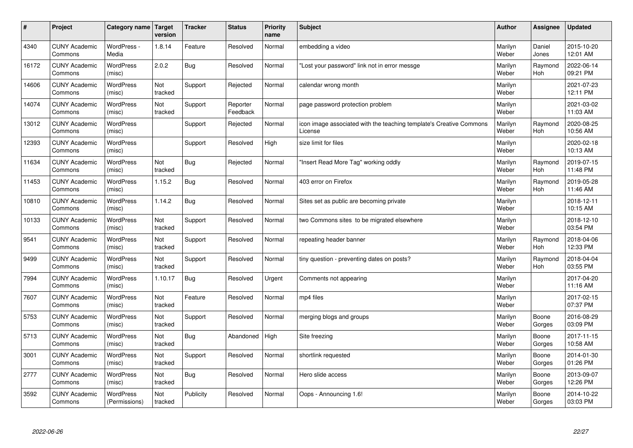| $\sharp$ | Project                         | Category name   Target            | version        | <b>Tracker</b> | <b>Status</b>        | <b>Priority</b><br>name | <b>Subject</b>                                                                 | <b>Author</b>    | Assignee        | <b>Updated</b>         |
|----------|---------------------------------|-----------------------------------|----------------|----------------|----------------------|-------------------------|--------------------------------------------------------------------------------|------------------|-----------------|------------------------|
| 4340     | <b>CUNY Academic</b><br>Commons | WordPress -<br>Media              | 1.8.14         | Feature        | Resolved             | Normal                  | embedding a video                                                              | Marilyn<br>Weber | Daniel<br>Jones | 2015-10-20<br>12:01 AM |
| 16172    | <b>CUNY Academic</b><br>Commons | <b>WordPress</b><br>(misc)        | 2.0.2          | Bug            | Resolved             | Normal                  | 'Lost your password" link not in error messge                                  | Marilyn<br>Weber | Raymond<br>Hoh  | 2022-06-14<br>09:21 PM |
| 14606    | <b>CUNY Academic</b><br>Commons | <b>WordPress</b><br>(misc)        | Not<br>tracked | Support        | Rejected             | Normal                  | calendar wrong month                                                           | Marilyn<br>Weber |                 | 2021-07-23<br>12:11 PM |
| 14074    | <b>CUNY Academic</b><br>Commons | <b>WordPress</b><br>(misc)        | Not<br>tracked | Support        | Reporter<br>Feedback | Normal                  | page password protection problem                                               | Marilyn<br>Weber |                 | 2021-03-02<br>11:03 AM |
| 13012    | <b>CUNY Academic</b><br>Commons | <b>WordPress</b><br>(misc)        |                | Support        | Rejected             | Normal                  | icon image associated with the teaching template's Creative Commons<br>License | Marilyn<br>Weber | Raymond<br>Hoh  | 2020-08-25<br>10:56 AM |
| 12393    | <b>CUNY Academic</b><br>Commons | WordPress<br>(misc)               |                | Support        | Resolved             | High                    | size limit for files                                                           | Marilyn<br>Weber |                 | 2020-02-18<br>10:13 AM |
| 11634    | <b>CUNY Academic</b><br>Commons | <b>WordPress</b><br>(misc)        | Not<br>tracked | Bug            | Rejected             | Normal                  | 'Insert Read More Tag" working oddly                                           | Marilyn<br>Weber | Raymond<br>Hoh  | 2019-07-15<br>11:48 PM |
| 11453    | <b>CUNY Academic</b><br>Commons | <b>WordPress</b><br>(misc)        | 1.15.2         | <b>Bug</b>     | Resolved             | Normal                  | 403 error on Firefox                                                           | Marilyn<br>Weber | Raymond<br>Hoh  | 2019-05-28<br>11:46 AM |
| 10810    | <b>CUNY Academic</b><br>Commons | <b>WordPress</b><br>(misc)        | 1.14.2         | Bug            | Resolved             | Normal                  | Sites set as public are becoming private                                       | Marilyn<br>Weber |                 | 2018-12-11<br>10:15 AM |
| 10133    | <b>CUNY Academic</b><br>Commons | WordPress<br>(misc)               | Not<br>tracked | Support        | Resolved             | Normal                  | two Commons sites to be migrated elsewhere                                     | Marilyn<br>Weber |                 | 2018-12-10<br>03:54 PM |
| 9541     | <b>CUNY Academic</b><br>Commons | WordPress<br>(misc)               | Not<br>tracked | Support        | Resolved             | Normal                  | repeating header banner                                                        | Marilyn<br>Weber | Raymond<br>Hoh  | 2018-04-06<br>12:33 PM |
| 9499     | <b>CUNY Academic</b><br>Commons | <b>WordPress</b><br>(misc)        | Not<br>tracked | Support        | Resolved             | Normal                  | tiny question - preventing dates on posts?                                     | Marilyn<br>Weber | Raymond<br>Hoh  | 2018-04-04<br>03:55 PM |
| 7994     | <b>CUNY Academic</b><br>Commons | WordPress<br>(misc)               | 1.10.17        | Bug            | Resolved             | Urgent                  | Comments not appearing                                                         | Marilyn<br>Weber |                 | 2017-04-20<br>11:16 AM |
| 7607     | <b>CUNY Academic</b><br>Commons | WordPress<br>(misc)               | Not<br>tracked | Feature        | Resolved             | Normal                  | mp4 files                                                                      | Marilyn<br>Weber |                 | 2017-02-15<br>07:37 PM |
| 5753     | <b>CUNY Academic</b><br>Commons | <b>WordPress</b><br>(misc)        | Not<br>tracked | Support        | Resolved             | Normal                  | merging blogs and groups                                                       | Marilyn<br>Weber | Boone<br>Gorges | 2016-08-29<br>03:09 PM |
| 5713     | <b>CUNY Academic</b><br>Commons | <b>WordPress</b><br>(misc)        | Not<br>tracked | Bug            | Abandoned            | High                    | Site freezing                                                                  | Marilyn<br>Weber | Boone<br>Gorges | 2017-11-15<br>10:58 AM |
| 3001     | <b>CUNY Academic</b><br>Commons | WordPress<br>(misc)               | Not<br>tracked | Support        | Resolved             | Normal                  | shortlink requested                                                            | Marilyn<br>Weber | Boone<br>Gorges | 2014-01-30<br>01:26 PM |
| 2777     | <b>CUNY Academic</b><br>Commons | WordPress<br>(misc)               | Not<br>tracked | Bug            | Resolved             | Normal                  | Hero slide access                                                              | Marilyn<br>Weber | Boone<br>Gorges | 2013-09-07<br>12:26 PM |
| 3592     | <b>CUNY Academic</b><br>Commons | <b>WordPress</b><br>(Permissions) | Not<br>tracked | Publicity      | Resolved             | Normal                  | Oops - Announcing 1.6!                                                         | Marilyn<br>Weber | Boone<br>Gorges | 2014-10-22<br>03:03 PM |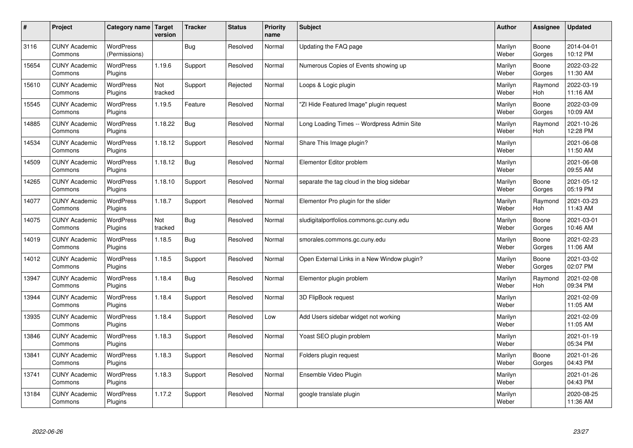| $\sharp$ | Project                         | Category name Target              | version        | <b>Tracker</b> | <b>Status</b> | <b>Priority</b><br>name | <b>Subject</b>                              | <b>Author</b>    | Assignee              | <b>Updated</b>         |
|----------|---------------------------------|-----------------------------------|----------------|----------------|---------------|-------------------------|---------------------------------------------|------------------|-----------------------|------------------------|
| 3116     | <b>CUNY Academic</b><br>Commons | <b>WordPress</b><br>(Permissions) |                | Bug            | Resolved      | Normal                  | Updating the FAQ page                       | Marilyn<br>Weber | Boone<br>Gorges       | 2014-04-01<br>10:12 PM |
| 15654    | <b>CUNY Academic</b><br>Commons | <b>WordPress</b><br>Plugins       | 1.19.6         | Support        | Resolved      | Normal                  | Numerous Copies of Events showing up        | Marilyn<br>Weber | Boone<br>Gorges       | 2022-03-22<br>11:30 AM |
| 15610    | <b>CUNY Academic</b><br>Commons | <b>WordPress</b><br>Plugins       | Not<br>tracked | Support        | Rejected      | Normal                  | Loops & Logic plugin                        | Marilyn<br>Weber | Raymond<br><b>Hoh</b> | 2022-03-19<br>11:16 AM |
| 15545    | <b>CUNY Academic</b><br>Commons | <b>WordPress</b><br>Plugins       | 1.19.5         | Feature        | Resolved      | Normal                  | 'ZI Hide Featured Image" plugin request     | Marilyn<br>Weber | Boone<br>Gorges       | 2022-03-09<br>10:09 AM |
| 14885    | <b>CUNY Academic</b><br>Commons | <b>WordPress</b><br>Plugins       | 1.18.22        | Bug            | Resolved      | Normal                  | Long Loading Times -- Wordpress Admin Site  | Marilyn<br>Weber | Raymond<br>Hoh        | 2021-10-26<br>12:28 PM |
| 14534    | <b>CUNY Academic</b><br>Commons | WordPress<br>Plugins              | 1.18.12        | Support        | Resolved      | Normal                  | Share This Image plugin?                    | Marilyn<br>Weber |                       | 2021-06-08<br>11:50 AM |
| 14509    | <b>CUNY Academic</b><br>Commons | <b>WordPress</b><br>Plugins       | 1.18.12        | Bug            | Resolved      | Normal                  | Elementor Editor problem                    | Marilyn<br>Weber |                       | 2021-06-08<br>09:55 AM |
| 14265    | <b>CUNY Academic</b><br>Commons | <b>WordPress</b><br>Plugins       | 1.18.10        | Support        | Resolved      | Normal                  | separate the tag cloud in the blog sidebar  | Marilyn<br>Weber | Boone<br>Gorges       | 2021-05-12<br>05:19 PM |
| 14077    | <b>CUNY Academic</b><br>Commons | <b>WordPress</b><br>Plugins       | 1.18.7         | Support        | Resolved      | Normal                  | Elementor Pro plugin for the slider         | Marilyn<br>Weber | Raymond<br><b>Hoh</b> | 2021-03-23<br>11:43 AM |
| 14075    | <b>CUNY Academic</b><br>Commons | WordPress<br>Plugins              | Not<br>tracked | Bug            | Resolved      | Normal                  | sludigitalportfolios.commons.gc.cuny.edu    | Marilyn<br>Weber | Boone<br>Gorges       | 2021-03-01<br>10:46 AM |
| 14019    | <b>CUNY Academic</b><br>Commons | WordPress<br>Plugins              | 1.18.5         | <b>Bug</b>     | Resolved      | Normal                  | smorales.commons.gc.cuny.edu                | Marilyn<br>Weber | Boone<br>Gorges       | 2021-02-23<br>11:06 AM |
| 14012    | <b>CUNY Academic</b><br>Commons | <b>WordPress</b><br>Plugins       | 1.18.5         | Support        | Resolved      | Normal                  | Open External Links in a New Window plugin? | Marilyn<br>Weber | Boone<br>Gorges       | 2021-03-02<br>02:07 PM |
| 13947    | <b>CUNY Academic</b><br>Commons | <b>WordPress</b><br>Plugins       | 1.18.4         | Bug            | Resolved      | Normal                  | Elementor plugin problem                    | Marilyn<br>Weber | Raymond<br>Hoh        | 2021-02-08<br>09:34 PM |
| 13944    | <b>CUNY Academic</b><br>Commons | WordPress<br>Plugins              | 1.18.4         | Support        | Resolved      | Normal                  | 3D FlipBook request                         | Marilyn<br>Weber |                       | 2021-02-09<br>11:05 AM |
| 13935    | <b>CUNY Academic</b><br>Commons | <b>WordPress</b><br>Plugins       | 1.18.4         | Support        | Resolved      | Low                     | Add Users sidebar widget not working        | Marilyn<br>Weber |                       | 2021-02-09<br>11:05 AM |
| 13846    | <b>CUNY Academic</b><br>Commons | <b>WordPress</b><br>Plugins       | 1.18.3         | Support        | Resolved      | Normal                  | Yoast SEO plugin problem                    | Marilyn<br>Weber |                       | 2021-01-19<br>05:34 PM |
| 13841    | <b>CUNY Academic</b><br>Commons | WordPress<br>Plugins              | 1.18.3         | Support        | Resolved      | Normal                  | Folders plugin request                      | Marilyn<br>Weber | Boone<br>Gorges       | 2021-01-26<br>04:43 PM |
| 13741    | <b>CUNY Academic</b><br>Commons | WordPress<br>Plugins              | 1.18.3         | Support        | Resolved      | Normal                  | Ensemble Video Plugin                       | Marilyn<br>Weber |                       | 2021-01-26<br>04:43 PM |
| 13184    | <b>CUNY Academic</b><br>Commons | WordPress<br>Plugins              | 1.17.2         | Support        | Resolved      | Normal                  | google translate plugin                     | Marilyn<br>Weber |                       | 2020-08-25<br>11:36 AM |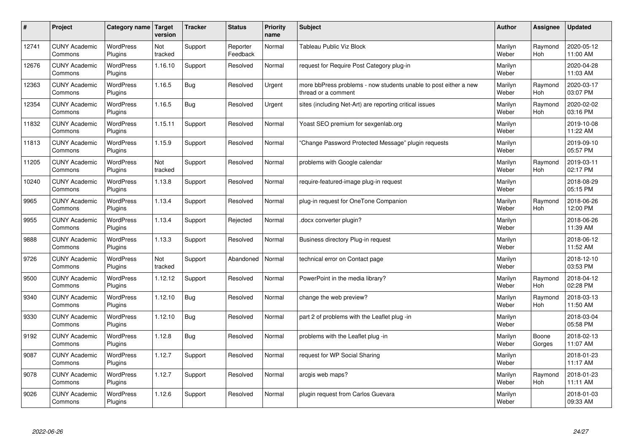| $\pmb{\sharp}$ | Project                         | Category name               | <b>Target</b><br>version | <b>Tracker</b> | <b>Status</b>        | <b>Priority</b><br>name | Subject                                                                                 | <b>Author</b>    | Assignee              | <b>Updated</b>         |
|----------------|---------------------------------|-----------------------------|--------------------------|----------------|----------------------|-------------------------|-----------------------------------------------------------------------------------------|------------------|-----------------------|------------------------|
| 12741          | <b>CUNY Academic</b><br>Commons | <b>WordPress</b><br>Plugins | Not<br>tracked           | Support        | Reporter<br>Feedback | Normal                  | Tableau Public Viz Block                                                                | Marilyn<br>Weber | Raymond<br>Hoh        | 2020-05-12<br>11:00 AM |
| 12676          | <b>CUNY Academic</b><br>Commons | <b>WordPress</b><br>Plugins | 1.16.10                  | Support        | Resolved             | Normal                  | request for Require Post Category plug-in                                               | Marilyn<br>Weber |                       | 2020-04-28<br>11:03 AM |
| 12363          | <b>CUNY Academic</b><br>Commons | <b>WordPress</b><br>Plugins | 1.16.5                   | Bug            | Resolved             | Urgent                  | more bbPress problems - now students unable to post either a new<br>thread or a comment | Marilyn<br>Weber | Raymond<br>Hoh        | 2020-03-17<br>03:07 PM |
| 12354          | <b>CUNY Academic</b><br>Commons | WordPress<br>Plugins        | 1.16.5                   | <b>Bug</b>     | Resolved             | Urgent                  | sites (including Net-Art) are reporting critical issues                                 | Marilyn<br>Weber | Raymond<br>Hoh        | 2020-02-02<br>03:16 PM |
| 11832          | <b>CUNY Academic</b><br>Commons | <b>WordPress</b><br>Plugins | 1.15.11                  | Support        | Resolved             | Normal                  | Yoast SEO premium for sexgenlab.org                                                     | Marilyn<br>Weber |                       | 2019-10-08<br>11:22 AM |
| 11813          | <b>CUNY Academic</b><br>Commons | <b>WordPress</b><br>Plugins | 1.15.9                   | Support        | Resolved             | Normal                  | Change Password Protected Message" plugin requests                                      | Marilyn<br>Weber |                       | 2019-09-10<br>05:57 PM |
| 11205          | <b>CUNY Academic</b><br>Commons | <b>WordPress</b><br>Plugins | Not<br>tracked           | Support        | Resolved             | Normal                  | problems with Google calendar                                                           | Marilyn<br>Weber | Raymond<br><b>Hoh</b> | 2019-03-11<br>02:17 PM |
| 10240          | <b>CUNY Academic</b><br>Commons | WordPress<br>Plugins        | 1.13.8                   | Support        | Resolved             | Normal                  | require-featured-image plug-in request                                                  | Marilyn<br>Weber |                       | 2018-08-29<br>05:15 PM |
| 9965           | <b>CUNY Academic</b><br>Commons | WordPress<br>Plugins        | 1.13.4                   | Support        | Resolved             | Normal                  | plug-in request for OneTone Companion                                                   | Marilyn<br>Weber | Raymond<br>Hoh        | 2018-06-26<br>12:00 PM |
| 9955           | <b>CUNY Academic</b><br>Commons | <b>WordPress</b><br>Plugins | 1.13.4                   | Support        | Rejected             | Normal                  | docx converter plugin?                                                                  | Marilyn<br>Weber |                       | 2018-06-26<br>11:39 AM |
| 9888           | <b>CUNY Academic</b><br>Commons | <b>WordPress</b><br>Plugins | 1.13.3                   | Support        | Resolved             | Normal                  | Business directory Plug-in request                                                      | Marilyn<br>Weber |                       | 2018-06-12<br>11:52 AM |
| 9726           | <b>CUNY Academic</b><br>Commons | <b>WordPress</b><br>Plugins | Not<br>tracked           | Support        | Abandoned            | Normal                  | technical error on Contact page                                                         | Marilyn<br>Weber |                       | 2018-12-10<br>03:53 PM |
| 9500           | <b>CUNY Academic</b><br>Commons | <b>WordPress</b><br>Plugins | 1.12.12                  | Support        | Resolved             | Normal                  | PowerPoint in the media library?                                                        | Marilyn<br>Weber | Raymond<br>Hoh        | 2018-04-12<br>02:28 PM |
| 9340           | <b>CUNY Academic</b><br>Commons | WordPress<br>Plugins        | 1.12.10                  | Bug            | Resolved             | Normal                  | change the web preview?                                                                 | Marilyn<br>Weber | Raymond<br>Hoh        | 2018-03-13<br>11:50 AM |
| 9330           | <b>CUNY Academic</b><br>Commons | <b>WordPress</b><br>Plugins | 1.12.10                  | Bug            | Resolved             | Normal                  | part 2 of problems with the Leaflet plug -in                                            | Marilyn<br>Weber |                       | 2018-03-04<br>05:58 PM |
| 9192           | <b>CUNY Academic</b><br>Commons | WordPress<br>Plugins        | 1.12.8                   | <b>Bug</b>     | Resolved             | Normal                  | problems with the Leaflet plug -in                                                      | Marilyn<br>Weber | Boone<br>Gorges       | 2018-02-13<br>11:07 AM |
| 9087           | <b>CUNY Academic</b><br>Commons | WordPress<br>Plugins        | 1.12.7                   | Support        | Resolved             | Normal                  | request for WP Social Sharing                                                           | Marilyn<br>Weber |                       | 2018-01-23<br>11:17 AM |
| 9078           | <b>CUNY Academic</b><br>Commons | WordPress<br>Plugins        | 1.12.7                   | Support        | Resolved             | Normal                  | arcgis web maps?                                                                        | Marilyn<br>Weber | Raymond<br><b>Hoh</b> | 2018-01-23<br>11:11 AM |
| 9026           | <b>CUNY Academic</b><br>Commons | <b>WordPress</b><br>Plugins | 1.12.6                   | Support        | Resolved             | Normal                  | plugin request from Carlos Guevara                                                      | Marilyn<br>Weber |                       | 2018-01-03<br>09:33 AM |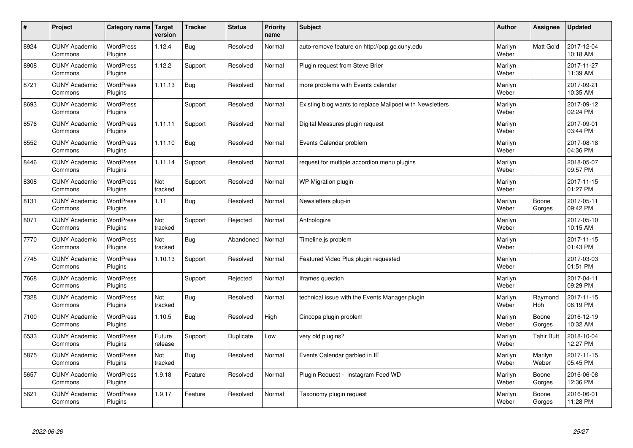| $\pmb{\#}$ | Project                         | Category name               | Target<br>version | <b>Tracker</b> | <b>Status</b> | <b>Priority</b><br>name | <b>Subject</b>                                           | <b>Author</b>    | Assignee              | <b>Updated</b>         |
|------------|---------------------------------|-----------------------------|-------------------|----------------|---------------|-------------------------|----------------------------------------------------------|------------------|-----------------------|------------------------|
| 8924       | <b>CUNY Academic</b><br>Commons | <b>WordPress</b><br>Plugins | 1.12.4            | Bug            | Resolved      | Normal                  | auto-remove feature on http://pcp.gc.cuny.edu            | Marilyn<br>Weber | <b>Matt Gold</b>      | 2017-12-04<br>10:18 AM |
| 8908       | <b>CUNY Academic</b><br>Commons | <b>WordPress</b><br>Plugins | 1.12.2            | Support        | Resolved      | Normal                  | Plugin request from Steve Brier                          | Marilyn<br>Weber |                       | 2017-11-27<br>11:39 AM |
| 8721       | <b>CUNY Academic</b><br>Commons | <b>WordPress</b><br>Plugins | 1.11.13           | Bug            | Resolved      | Normal                  | more problems with Events calendar                       | Marilyn<br>Weber |                       | 2017-09-21<br>10:35 AM |
| 8693       | <b>CUNY Academic</b><br>Commons | <b>WordPress</b><br>Plugins |                   | Support        | Resolved      | Normal                  | Existing blog wants to replace Mailpoet with Newsletters | Marilyn<br>Weber |                       | 2017-09-12<br>02:24 PM |
| 8576       | <b>CUNY Academic</b><br>Commons | <b>WordPress</b><br>Plugins | 1.11.11           | Support        | Resolved      | Normal                  | Digital Measures plugin request                          | Marilyn<br>Weber |                       | 2017-09-01<br>03:44 PM |
| 8552       | <b>CUNY Academic</b><br>Commons | WordPress<br>Plugins        | 1.11.10           | Bug            | Resolved      | Normal                  | Events Calendar problem                                  | Marilyn<br>Weber |                       | 2017-08-18<br>04:36 PM |
| 8446       | <b>CUNY Academic</b><br>Commons | <b>WordPress</b><br>Plugins | 1.11.14           | Support        | Resolved      | Normal                  | request for multiple accordion menu plugins              | Marilyn<br>Weber |                       | 2018-05-07<br>09:57 PM |
| 8308       | <b>CUNY Academic</b><br>Commons | <b>WordPress</b><br>Plugins | Not<br>tracked    | Support        | Resolved      | Normal                  | WP Migration plugin                                      | Marilyn<br>Weber |                       | 2017-11-15<br>01:27 PM |
| 8131       | <b>CUNY Academic</b><br>Commons | <b>WordPress</b><br>Plugins | 1.11              | Bug            | Resolved      | Normal                  | Newsletters plug-in                                      | Marilyn<br>Weber | Boone<br>Gorges       | 2017-05-11<br>09:42 PM |
| 8071       | <b>CUNY Academic</b><br>Commons | WordPress<br>Plugins        | Not<br>tracked    | Support        | Rejected      | Normal                  | Anthologize                                              | Marilyn<br>Weber |                       | 2017-05-10<br>10:15 AM |
| 7770       | <b>CUNY Academic</b><br>Commons | WordPress<br>Plugins        | Not<br>tracked    | Bug            | Abandoned     | Normal                  | Timeline.js problem                                      | Marilyn<br>Weber |                       | 2017-11-15<br>01:43 PM |
| 7745       | <b>CUNY Academic</b><br>Commons | <b>WordPress</b><br>Plugins | 1.10.13           | Support        | Resolved      | Normal                  | Featured Video Plus plugin requested                     | Marilyn<br>Weber |                       | 2017-03-03<br>01:51 PM |
| 7668       | <b>CUNY Academic</b><br>Commons | WordPress<br>Plugins        |                   | Support        | Rejected      | Normal                  | Iframes question                                         | Marilyn<br>Weber |                       | 2017-04-11<br>09:29 PM |
| 7328       | <b>CUNY Academic</b><br>Commons | <b>WordPress</b><br>Plugins | Not<br>tracked    | Bug            | Resolved      | Normal                  | technical issue with the Events Manager plugin           | Marilyn<br>Weber | Raymond<br><b>Hoh</b> | 2017-11-15<br>06:19 PM |
| 7100       | <b>CUNY Academic</b><br>Commons | <b>WordPress</b><br>Plugins | 1.10.5            | Bug            | Resolved      | High                    | Cincopa plugin problem                                   | Marilyn<br>Weber | Boone<br>Gorges       | 2016-12-19<br>10:32 AM |
| 6533       | <b>CUNY Academic</b><br>Commons | <b>WordPress</b><br>Plugins | Future<br>release | Support        | Duplicate     | Low                     | very old plugins?                                        | Marilyn<br>Weber | <b>Tahir Butt</b>     | 2018-10-04<br>12:27 PM |
| 5875       | <b>CUNY Academic</b><br>Commons | WordPress<br>Plugins        | Not<br>tracked    | Bug            | Resolved      | Normal                  | Events Calendar garbled in IE                            | Marilyn<br>Weber | Marilyn<br>Weber      | 2017-11-15<br>05:45 PM |
| 5657       | <b>CUNY Academic</b><br>Commons | WordPress<br>Plugins        | 1.9.18            | Feature        | Resolved      | Normal                  | Plugin Request - Instagram Feed WD                       | Marilyn<br>Weber | Boone<br>Gorges       | 2016-06-08<br>12:36 PM |
| 5621       | <b>CUNY Academic</b><br>Commons | <b>WordPress</b><br>Plugins | 1.9.17            | Feature        | Resolved      | Normal                  | Taxonomy plugin request                                  | Marilyn<br>Weber | Boone<br>Gorges       | 2016-06-01<br>11:28 PM |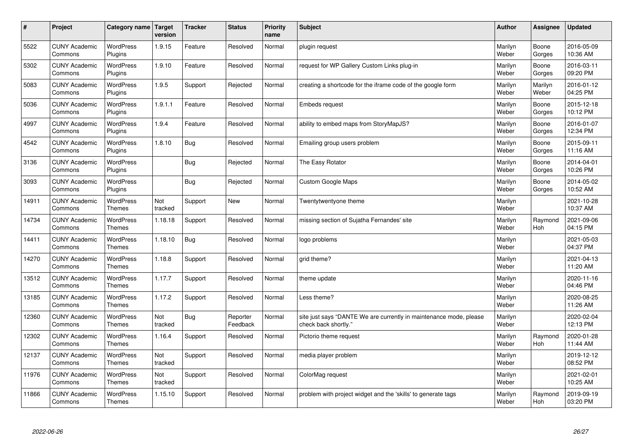| $\vert$ # | Project                         | Category name                     | Target<br>version | <b>Tracker</b> | <b>Status</b>        | <b>Priority</b><br>name | <b>Subject</b>                                                                             | <b>Author</b>    | Assignee              | <b>Updated</b>         |
|-----------|---------------------------------|-----------------------------------|-------------------|----------------|----------------------|-------------------------|--------------------------------------------------------------------------------------------|------------------|-----------------------|------------------------|
| 5522      | <b>CUNY Academic</b><br>Commons | <b>WordPress</b><br>Plugins       | 1.9.15            | Feature        | Resolved             | Normal                  | plugin request                                                                             | Marilyn<br>Weber | Boone<br>Gorges       | 2016-05-09<br>10:36 AM |
| 5302      | <b>CUNY Academic</b><br>Commons | WordPress<br>Plugins              | 1.9.10            | Feature        | Resolved             | Normal                  | request for WP Gallery Custom Links plug-in                                                | Marilyn<br>Weber | Boone<br>Gorges       | 2016-03-11<br>09:20 PM |
| 5083      | <b>CUNY Academic</b><br>Commons | <b>WordPress</b><br>Plugins       | 1.9.5             | Support        | Rejected             | Normal                  | creating a shortcode for the iframe code of the google form                                | Marilyn<br>Weber | Marilyn<br>Weber      | 2016-01-12<br>04:25 PM |
| 5036      | <b>CUNY Academic</b><br>Commons | WordPress<br>Plugins              | 1.9.1.1           | Feature        | Resolved             | Normal                  | Embeds request                                                                             | Marilyn<br>Weber | Boone<br>Gorges       | 2015-12-18<br>10:12 PM |
| 4997      | <b>CUNY Academic</b><br>Commons | <b>WordPress</b><br>Plugins       | 1.9.4             | Feature        | Resolved             | Normal                  | ability to embed maps from StoryMapJS?                                                     | Marilyn<br>Weber | Boone<br>Gorges       | 2016-01-07<br>12:34 PM |
| 4542      | <b>CUNY Academic</b><br>Commons | <b>WordPress</b><br>Plugins       | 1.8.10            | Bug            | Resolved             | Normal                  | Emailing group users problem                                                               | Marilyn<br>Weber | Boone<br>Gorges       | 2015-09-11<br>11:16 AM |
| 3136      | <b>CUNY Academic</b><br>Commons | <b>WordPress</b><br>Plugins       |                   | Bug            | Rejected             | Normal                  | The Easy Rotator                                                                           | Marilyn<br>Weber | Boone<br>Gorges       | 2014-04-01<br>10:26 PM |
| 3093      | <b>CUNY Academic</b><br>Commons | WordPress<br>Plugins              |                   | Bug            | Rejected             | Normal                  | <b>Custom Google Maps</b>                                                                  | Marilyn<br>Weber | Boone<br>Gorges       | 2014-05-02<br>10:52 AM |
| 14911     | <b>CUNY Academic</b><br>Commons | WordPress<br><b>Themes</b>        | Not<br>tracked    | Support        | <b>New</b>           | Normal                  | Twentytwentyone theme                                                                      | Marilyn<br>Weber |                       | 2021-10-28<br>10:37 AM |
| 14734     | <b>CUNY Academic</b><br>Commons | <b>WordPress</b><br>Themes        | 1.18.18           | Support        | Resolved             | Normal                  | missing section of Sujatha Fernandes' site                                                 | Marilyn<br>Weber | Raymond<br>Hoh        | 2021-09-06<br>04:15 PM |
| 14411     | <b>CUNY Academic</b><br>Commons | WordPress<br>Themes               | 1.18.10           | Bug            | Resolved             | Normal                  | logo problems                                                                              | Marilyn<br>Weber |                       | 2021-05-03<br>04:37 PM |
| 14270     | <b>CUNY Academic</b><br>Commons | WordPress<br><b>Themes</b>        | 1.18.8            | Support        | Resolved             | Normal                  | grid theme?                                                                                | Marilyn<br>Weber |                       | 2021-04-13<br>11:20 AM |
| 13512     | <b>CUNY Academic</b><br>Commons | WordPress<br><b>Themes</b>        | 1.17.7            | Support        | Resolved             | Normal                  | theme update                                                                               | Marilyn<br>Weber |                       | 2020-11-16<br>04:46 PM |
| 13185     | <b>CUNY Academic</b><br>Commons | WordPress<br>Themes               | 1.17.2            | Support        | Resolved             | Normal                  | Less theme?                                                                                | Marilyn<br>Weber |                       | 2020-08-25<br>11:26 AM |
| 12360     | <b>CUNY Academic</b><br>Commons | <b>WordPress</b><br><b>Themes</b> | Not<br>tracked    | Bug            | Reporter<br>Feedback | Normal                  | site just says "DANTE We are currently in maintenance mode, please<br>check back shortly." | Marilyn<br>Weber |                       | 2020-02-04<br>12:13 PM |
| 12302     | <b>CUNY Academic</b><br>Commons | WordPress<br><b>Themes</b>        | 1.16.4            | Support        | Resolved             | Normal                  | Pictorio theme request                                                                     | Marilyn<br>Weber | Raymond<br><b>Hoh</b> | 2020-01-28<br>11:44 AM |
| 12137     | <b>CUNY Academic</b><br>Commons | WordPress<br><b>Themes</b>        | Not<br>tracked    | Support        | Resolved             | Normal                  | media player problem                                                                       | Marilyn<br>Weber |                       | 2019-12-12<br>08:52 PM |
| 11976     | <b>CUNY Academic</b><br>Commons | WordPress<br><b>Themes</b>        | Not<br>tracked    | Support        | Resolved             | Normal                  | ColorMag request                                                                           | Marilyn<br>Weber |                       | 2021-02-01<br>10:25 AM |
| 11866     | <b>CUNY Academic</b><br>Commons | <b>WordPress</b><br><b>Themes</b> | 1.15.10           | Support        | Resolved             | Normal                  | problem with project widget and the 'skills' to generate tags                              | Marilyn<br>Weber | Raymond<br>Hoh        | 2019-09-19<br>03:20 PM |